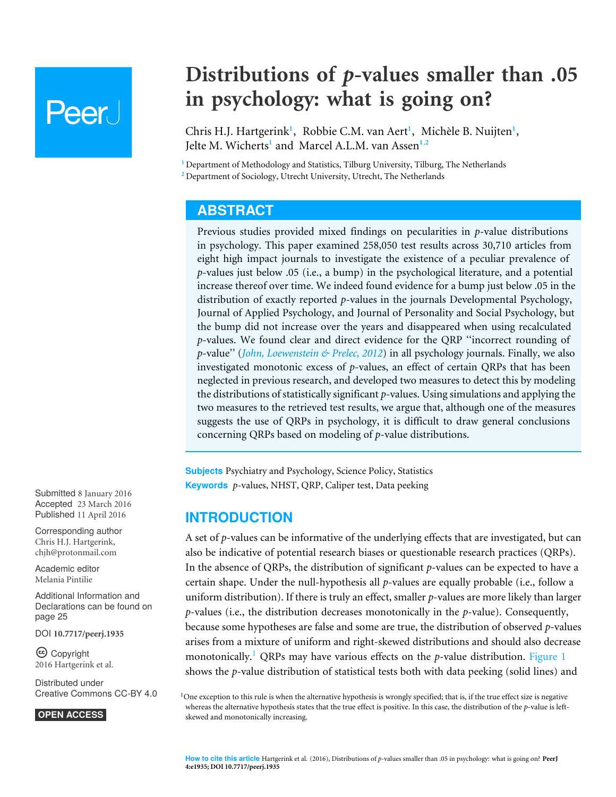# **Peer**

## **Distributions of** *p***-values smaller than .05 in psychology: what is going on?**

<span id="page-0-6"></span><span id="page-0-5"></span><span id="page-0-4"></span><span id="page-0-3"></span><span id="page-0-2"></span>Chris H.J. Hartgerink<sup>[1](#page-0-0)</sup>, Robbie C.M. van Aert<sup>1</sup>, Michèle B. Nuijten<sup>1</sup>, Jelte M. Wicherts**[1](#page-0-0)** and Marcel A.L.M. van Assen**[1](#page-0-0)**,**[2](#page-0-1)**

<span id="page-0-1"></span><span id="page-0-0"></span>**<sup>1</sup>** Department of Methodology and Statistics, Tilburg University, Tilburg, The Netherlands **<sup>2</sup>** Department of Sociology, Utrecht University, Utrecht, The Netherlands

## **ABSTRACT**

Previous studies provided mixed findings on pecularities in *p*-value distributions in psychology. This paper examined 258,050 test results across 30,710 articles from eight high impact journals to investigate the existence of a peculiar prevalence of *p*-values just below .05 (i.e., a bump) in the psychological literature, and a potential increase thereof over time. We indeed found evidence for a bump just below .05 in the distribution of exactly reported *p*-values in the journals Developmental Psychology, Journal of Applied Psychology, and Journal of Personality and Social Psychology, but the bump did not increase over the years and disappeared when using recalculated *p*-values. We found clear and direct evidence for the QRP ''incorrect rounding of *p*-value" (*John, Loewenstein*  $\&$  *Prelec, 2012*) in all psychology journals. Finally, we also investigated monotonic excess of *p*-values, an effect of certain QRPs that has been neglected in previous research, and developed two measures to detect this by modeling the distributions of statistically significant *p*-values. Using simulations and applying the two measures to the retrieved test results, we argue that, although one of the measures suggests the use of QRPs in psychology, it is difficult to draw general conclusions concerning QRPs based on modeling of *p*-value distributions.

**Subjects** Psychiatry and Psychology, Science Policy, Statistics **Keywords** *p*-values, NHST, QRP, Caliper test, Data peeking

## **INTRODUCTION**

A set of *p*-values can be informative of the underlying effects that are investigated, but can also be indicative of potential research biases or questionable research practices (QRPs). In the absence of QRPs, the distribution of significant *p*-values can be expected to have a certain shape. Under the null-hypothesis all *p*-values are equally probable (i.e., follow a uniform distribution). If there is truly an effect, smaller *p*-values are more likely than larger *p*-values (i.e., the distribution decreases monotonically in the *p*-value). Consequently, because some hypotheses are false and some are true, the distribution of observed *p*-values arises from a mixture of uniform and right-skewed distributions and should also decrease monotonically.<sup>1</sup> QRPs may have various effects on the *p*-value distribution. [Figure 1](#page-1-0) shows the *p*-value distribution of statistical tests both with data peeking (solid lines) and

<sup>1</sup>One exception to this rule is when the alternative hypothesis is wrongly specified; that is, if the true effect size is negative whereas the alternative hypothesis states that the true effect is positive. In this case, the distribution of the *p*-value is leftskewed and monotonically increasing.

Submitted 8 January 2016 Accepted 23 March 2016 Published 11 April 2016

Corresponding author Chris H.J. Hartgerink, [chjh@protonmail.com](mailto:chjh@protonmail.com)

[Academic editor](https://peerj.com/academic-boards/editors/) [Melania Pintilie](https://peerj.com/academic-boards/editors/)

[Additional Information and](#page-24-0) [Declarations can be found on](#page-24-0) [page 25](#page-24-0)

DOI **[10.7717/peerj.1935](http://dx.doi.org/10.7717/peerj.1935)**

Copyright 2016 Hartgerink et al.

[Distributed under](http://creativecommons.org/licenses/by/4.0/) [Creative Commons CC-BY 4.0](http://creativecommons.org/licenses/by/4.0/)

#### **OPEN ACCESS**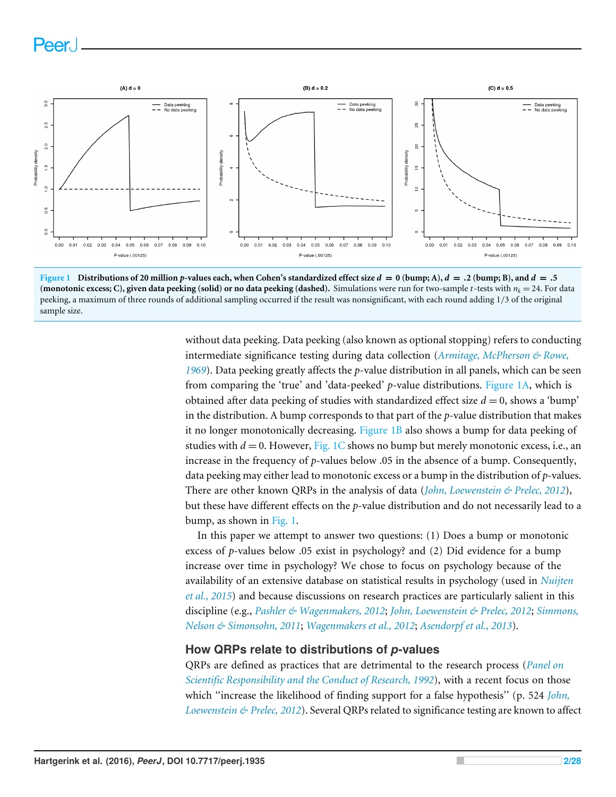



without data peeking. Data peeking (also known as optional stopping) refers to conducting intermediate significance testing during data collection (*[Armitage, McPherson & Rowe,](#page-25-0) [1969](#page-25-0)*). Data peeking greatly affects the *p*-value distribution in all panels, which can be seen from comparing the 'true' and 'data-peeked' *p*-value distributions. [Figure 1A,](#page-1-0) which is obtained after data peeking of studies with standardized effect size  $d = 0$ , shows a 'bump' in the distribution. A bump corresponds to that part of the *p*-value distribution that makes it no longer monotonically decreasing. [Figure 1B](#page-1-0) also shows a bump for data peeking of studies with  $d = 0$ . However, [Fig. 1C](#page-1-0) shows no bump but merely monotonic excess, i.e., an increase in the frequency of *p*-values below .05 in the absence of a bump. Consequently, data peeking may either lead to monotonic excess or a bump in the distribution of *p*-values. There are other known QRPs in the analysis of data (*[John, Loewenstein & Prelec, 2012](#page-26-0)*), but these have different effects on the *p*-value distribution and do not necessarily lead to a bump, as shown in [Fig. 1.](#page-1-0)

In this paper we attempt to answer two questions: (1) Does a bump or monotonic excess of *p*-values below .05 exist in psychology? and (2) Did evidence for a bump increase over time in psychology? We chose to focus on psychology because of the availability of an extensive database on statistical results in psychology (used in *[Nuijten](#page-26-1) [et al., 2015](#page-26-1)*) and because discussions on research practices are particularly salient in this discipline (e.g., *[Pashler & Wagenmakers, 2012](#page-27-0)*; *[John, Loewenstein & Prelec, 2012](#page-26-0)*; *[Simmons,](#page-27-1) [Nelson & Simonsohn, 2011](#page-27-1)*; *[Wagenmakers et al., 2012](#page-27-2)*; *[Asendorpf et al., 2013](#page-25-1)*).

#### **How QRPs relate to distributions of** *p***-values**

QRPs are defined as practices that are detrimental to the research process (*[Panel on](#page-26-2) [Scientific Responsibility and the Conduct of Research, 1992](#page-26-2)*), with a recent focus on those which "increase the likelihood of finding support for a false hypothesis" (p. 524 *John*, *[Loewenstein & Prelec, 2012](#page-26-0)*). Several QRPs related to significance testing are known to affect

<span id="page-1-0"></span>Peer.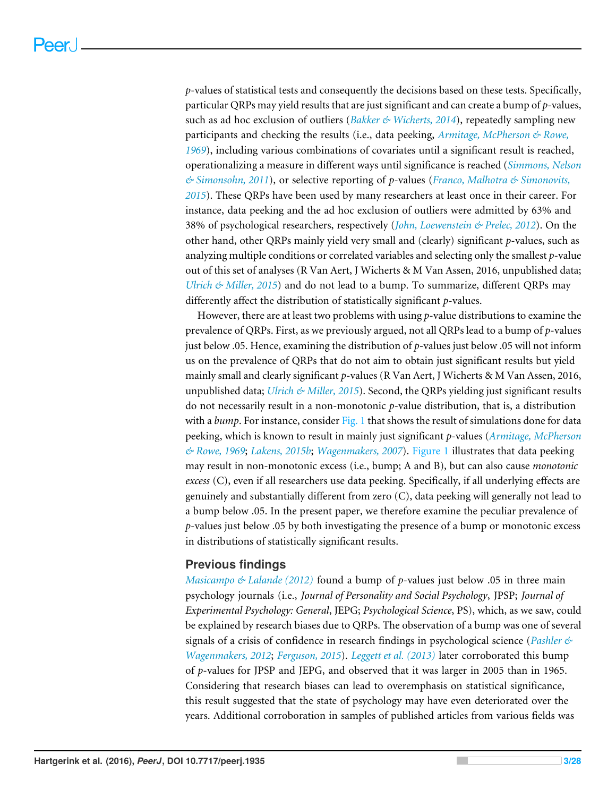*p*-values of statistical tests and consequently the decisions based on these tests. Specifically, particular QRPs may yield results that are just significant and can create a bump of *p*-values, such as ad hoc exclusion of outliers (*[Bakker & Wicherts, 2014](#page-25-2)*), repeatedly sampling new participants and checking the results (i.e., data peeking, *[Armitage, McPherson & Rowe,](#page-25-0) [1969](#page-25-0)*), including various combinations of covariates until a significant result is reached, operationalizing a measure in different ways until significance is reached (*[Simmons, Nelson](#page-27-1) [& Simonsohn, 2011](#page-27-1)*), or selective reporting of *p*-values (*[Franco, Malhotra & Simonovits,](#page-25-3) [2015](#page-25-3)*). These QRPs have been used by many researchers at least once in their career. For instance, data peeking and the ad hoc exclusion of outliers were admitted by 63% and 38% of psychological researchers, respectively (*[John, Loewenstein & Prelec, 2012](#page-26-0)*). On the other hand, other QRPs mainly yield very small and (clearly) significant *p*-values, such as analyzing multiple conditions or correlated variables and selecting only the smallest *p*-value out of this set of analyses (R Van Aert, J Wicherts & M Van Assen, 2016, unpublished data; *[Ulrich & Miller, 2015](#page-27-3)*) and do not lead to a bump. To summarize, different QRPs may differently affect the distribution of statistically significant *p*-values.

However, there are at least two problems with using *p*-value distributions to examine the prevalence of QRPs. First, as we previously argued, not all QRPs lead to a bump of *p*-values just below .05. Hence, examining the distribution of *p*-values just below .05 will not inform us on the prevalence of QRPs that do not aim to obtain just significant results but yield mainly small and clearly significant *p*-values (R Van Aert, J Wicherts & M Van Assen, 2016, unpublished data; *[Ulrich & Miller, 2015](#page-27-3)*). Second, the QRPs yielding just significant results do not necessarily result in a non-monotonic *p*-value distribution, that is, a distribution with a *bump*. For instance, consider [Fig. 1](#page-1-0) that shows the result of simulations done for data peeking, which is known to result in mainly just significant *p*-values (*[Armitage, McPherson](#page-25-0) [& Rowe, 1969](#page-25-0)*; *[Lakens, 2015b](#page-26-3)*; *[Wagenmakers, 2007](#page-27-4)*). [Figure 1](#page-1-0) illustrates that data peeking may result in non-monotonic excess (i.e., bump; A and B), but can also cause *monotonic excess* (C), even if all researchers use data peeking. Specifically, if all underlying effects are genuinely and substantially different from zero (C), data peeking will generally not lead to a bump below .05. In the present paper, we therefore examine the peculiar prevalence of *p*-values just below .05 by both investigating the presence of a bump or monotonic excess in distributions of statistically significant results.

#### **Previous findings**

*[Masicampo & Lalande \(2012\)](#page-26-4)* found a bump of *p*-values just below .05 in three main psychology journals (i.e., *Journal of Personality and Social Psychology*, JPSP; *Journal of Experimental Psychology: General*, JEPG; *Psychological Science*, PS), which, as we saw, could be explained by research biases due to QRPs. The observation of a bump was one of several signals of a crisis of confidence in research findings in psychological science (*[Pashler &](#page-27-0) [Wagenmakers, 2012](#page-27-0)*; *[Ferguson, 2015](#page-25-4)*). *[Leggett et al. \(2013\)](#page-26-5)* later corroborated this bump of *p*-values for JPSP and JEPG, and observed that it was larger in 2005 than in 1965. Considering that research biases can lead to overemphasis on statistical significance, this result suggested that the state of psychology may have even deteriorated over the years. Additional corroboration in samples of published articles from various fields was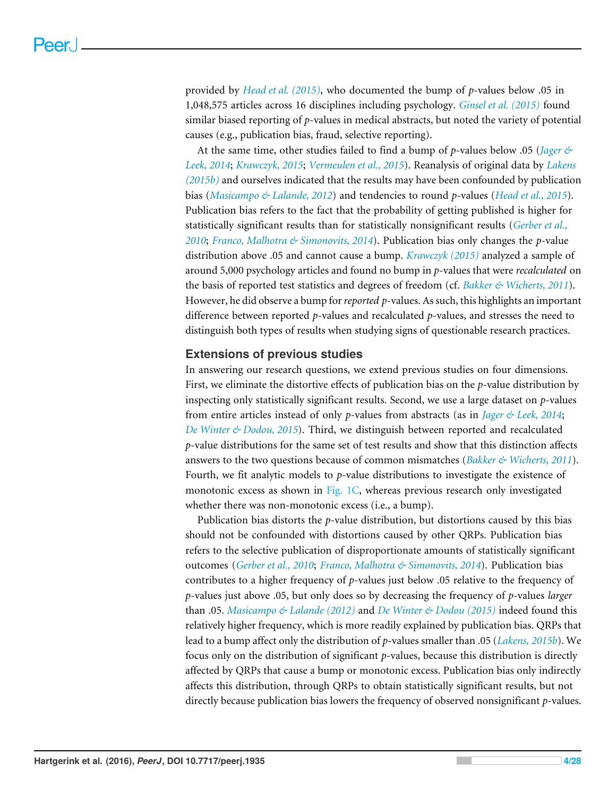provided by *[Head et al. \(2015\)](#page-26-6)*, who documented the bump of *p*-values below .05 in 1,048,575 articles across 16 disciplines including psychology. *[Ginsel et al. \(2015\)](#page-26-7)* found similar biased reporting of *p*-values in medical abstracts, but noted the variety of potential causes (e.g., publication bias, fraud, selective reporting).

At the same time, other studies failed to find a bump of *p*-values below .05 (*[Jager &](#page-26-8) [Leek, 2014](#page-26-8)*; *[Krawczyk, 2015](#page-26-9)*; *[Vermeulen et al., 2015](#page-27-5)*). Reanalysis of original data by *[Lakens](#page-26-3) [\(2015b\)](#page-26-3)* and ourselves indicated that the results may have been confounded by publication bias (*[Masicampo & Lalande, 2012](#page-26-4)*) and tendencies to round *p*-values (*[Head et al., 2015](#page-26-6)*). Publication bias refers to the fact that the probability of getting published is higher for statistically significant results than for statistically nonsignificant results (*[Gerber et al.,](#page-25-5) [2010](#page-25-5)*; *[Franco, Malhotra & Simonovits, 2014](#page-25-6)*). Publication bias only changes the *p*-value distribution above .05 and cannot cause a bump. *[Krawczyk \(2015\)](#page-26-9)* analyzed a sample of around 5,000 psychology articles and found no bump in *p*-values that were *recalculated* on the basis of reported test statistics and degrees of freedom (cf. *[Bakker & Wicherts, 2011](#page-25-7)*). However, he did observe a bump for*reported p*-values. As such, this highlights an important difference between reported *p*-values and recalculated *p*-values, and stresses the need to distinguish both types of results when studying signs of questionable research practices.

#### **Extensions of previous studies**

In answering our research questions, we extend previous studies on four dimensions. First, we eliminate the distortive effects of publication bias on the *p*-value distribution by inspecting only statistically significant results. Second, we use a large dataset on *p*-values from entire articles instead of only *p*-values from abstracts (as in *[Jager & Leek, 2014](#page-26-8)*; *[De Winter & Dodou, 2015](#page-25-8)*). Third, we distinguish between reported and recalculated *p*-value distributions for the same set of test results and show that this distinction affects answers to the two questions because of common mismatches (*[Bakker & Wicherts, 2011](#page-25-7)*). Fourth, we fit analytic models to *p*-value distributions to investigate the existence of monotonic excess as shown in [Fig. 1C,](#page-1-0) whereas previous research only investigated whether there was non-monotonic excess (i.e., a bump).

Publication bias distorts the *p*-value distribution, but distortions caused by this bias should not be confounded with distortions caused by other QRPs. Publication bias refers to the selective publication of disproportionate amounts of statistically significant outcomes (*[Gerber et al., 2010](#page-25-5)*; *[Franco, Malhotra & Simonovits, 2014](#page-25-6)*). Publication bias contributes to a higher frequency of *p*-values just below .05 relative to the frequency of *p*-values just above .05, but only does so by decreasing the frequency of *p*-values *larger* than .05. *[Masicampo & Lalande \(2012\)](#page-26-4)* and *[De Winter & Dodou \(2015\)](#page-25-8)* indeed found this relatively higher frequency, which is more readily explained by publication bias. QRPs that lead to a bump affect only the distribution of *p*-values smaller than .05 (*[Lakens, 2015b](#page-26-3)*). We focus only on the distribution of significant *p*-values, because this distribution is directly affected by QRPs that cause a bump or monotonic excess. Publication bias only indirectly affects this distribution, through QRPs to obtain statistically significant results, but not directly because publication bias lowers the frequency of observed nonsignificant *p*-values.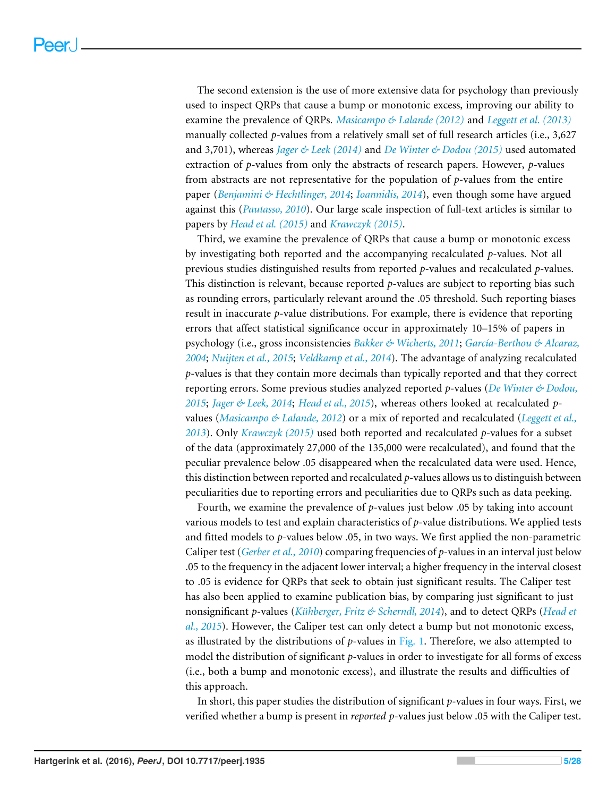The second extension is the use of more extensive data for psychology than previously used to inspect QRPs that cause a bump or monotonic excess, improving our ability to examine the prevalence of QRPs. *[Masicampo & Lalande \(2012\)](#page-26-4)* and *[Leggett et al. \(2013\)](#page-26-5)* manually collected *p*-values from a relatively small set of full research articles (i.e., 3,627 and 3,701), whereas *[Jager & Leek \(2014\)](#page-26-8)* and *[De Winter & Dodou \(2015\)](#page-25-8)* used automated extraction of *p*-values from only the abstracts of research papers. However, *p*-values from abstracts are not representative for the population of *p*-values from the entire paper (*[Benjamini & Hechtlinger, 2014](#page-25-9)*; *[Ioannidis, 2014](#page-26-10)*), even though some have argued against this (*[Pautasso, 2010](#page-27-6)*). Our large scale inspection of full-text articles is similar to papers by *[Head et al. \(2015\)](#page-26-6)* and *[Krawczyk \(2015\)](#page-26-9)*.

Third, we examine the prevalence of QRPs that cause a bump or monotonic excess by investigating both reported and the accompanying recalculated *p*-values. Not all previous studies distinguished results from reported *p*-values and recalculated *p*-values. This distinction is relevant, because reported *p*-values are subject to reporting bias such as rounding errors, particularly relevant around the .05 threshold. Such reporting biases result in inaccurate *p*-value distributions. For example, there is evidence that reporting errors that affect statistical significance occur in approximately 10–15% of papers in psychology (i.e., gross inconsistencies *[Bakker & Wicherts, 2011](#page-25-7)*; *[García-Berthou & Alcaraz,](#page-25-10) [2004](#page-25-10)*; *[Nuijten et al., 2015](#page-26-1)*; *[Veldkamp et al., 2014](#page-27-7)*). The advantage of analyzing recalculated *p*-values is that they contain more decimals than typically reported and that they correct reporting errors. Some previous studies analyzed reported *p*-values (*[De Winter & Dodou,](#page-25-8) [2015](#page-25-8)*; *[Jager & Leek, 2014](#page-26-8)*; *[Head et al., 2015](#page-26-6)*), whereas others looked at recalculated *p*values (*[Masicampo & Lalande, 2012](#page-26-4)*) or a mix of reported and recalculated (*[Leggett et al.,](#page-26-5) [2013](#page-26-5)*). Only *[Krawczyk \(2015\)](#page-26-9)* used both reported and recalculated *p*-values for a subset of the data (approximately 27,000 of the 135,000 were recalculated), and found that the peculiar prevalence below .05 disappeared when the recalculated data were used. Hence, this distinction between reported and recalculated *p*-values allows us to distinguish between peculiarities due to reporting errors and peculiarities due to QRPs such as data peeking.

Fourth, we examine the prevalence of *p*-values just below .05 by taking into account various models to test and explain characteristics of *p*-value distributions. We applied tests and fitted models to *p*-values below .05, in two ways. We first applied the non-parametric Caliper test (*[Gerber et al., 2010](#page-25-5)*) comparing frequencies of *p*-values in an interval just below .05 to the frequency in the adjacent lower interval; a higher frequency in the interval closest to .05 is evidence for QRPs that seek to obtain just significant results. The Caliper test has also been applied to examine publication bias, by comparing just significant to just nonsignificant *p*-values (*[Kühberger, Fritz & Scherndl, 2014](#page-26-11)*), and to detect QRPs (*[Head et](#page-26-6) [al., 2015](#page-26-6)*). However, the Caliper test can only detect a bump but not monotonic excess, as illustrated by the distributions of *p*-values in [Fig. 1.](#page-1-0) Therefore, we also attempted to model the distribution of significant *p*-values in order to investigate for all forms of excess (i.e., both a bump and monotonic excess), and illustrate the results and difficulties of this approach.

In short, this paper studies the distribution of significant *p*-values in four ways. First, we verified whether a bump is present in *reported p*-values just below .05 with the Caliper test.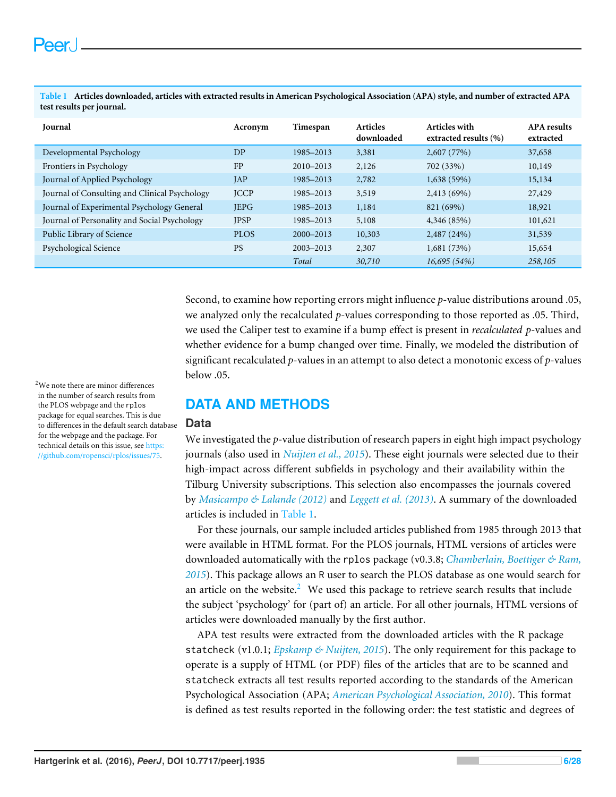| Journal                                       | Acronym     | Timespan      | <b>Articles</b><br>downloaded | Articles with<br>extracted results (%) | <b>APA</b> results<br>extracted |
|-----------------------------------------------|-------------|---------------|-------------------------------|----------------------------------------|---------------------------------|
| Developmental Psychology                      | DP          | 1985-2013     | 3,381                         | 2,607(77%)                             | 37,658                          |
| Frontiers in Psychology                       | FP          | 2010-2013     | 2,126                         | 702 (33%)                              | 10,149                          |
| Journal of Applied Psychology                 | JAP         | 1985-2013     | 2,782                         | 1,638(59%)                             | 15,134                          |
| Journal of Consulting and Clinical Psychology | <b>JCCP</b> | 1985–2013     | 3,519                         | 2,413 (69%)                            | 27,429                          |
| Journal of Experimental Psychology General    | <b>JEPG</b> | 1985–2013     | 1,184                         | 821 (69%)                              | 18,921                          |
| Journal of Personality and Social Psychology  | <b>JPSP</b> | 1985-2013     | 5,108                         | 4,346(85%)                             | 101,621                         |
| Public Library of Science                     | <b>PLOS</b> | $2000 - 2013$ | 10,303                        | 2,487(24%)                             | 31,539                          |
| Psychological Science                         | <b>PS</b>   | $2003 - 2013$ | 2,307                         | 1,681(73%)                             | 15,654                          |
|                                               |             | Total         | 30,710                        | 16,695(54%)                            | 258,105                         |

<span id="page-5-0"></span>**Table 1 Articles downloaded, articles with extracted results in American Psychological Association (APA) style, and number of extracted APA test results per journal.**

> Second, to examine how reporting errors might influence *p*-value distributions around .05, we analyzed only the recalculated *p*-values corresponding to those reported as .05. Third, we used the Caliper test to examine if a bump effect is present in *recalculated p*-values and whether evidence for a bump changed over time. Finally, we modeled the distribution of significant recalculated *p*-values in an attempt to also detect a monotonic excess of *p*-values below .05.

## **DATA AND METHODS**

#### **Data**

We investigated the *p*-value distribution of research papers in eight high impact psychology journals (also used in *[Nuijten et al., 2015](#page-26-1)*). These eight journals were selected due to their high-impact across different subfields in psychology and their availability within the Tilburg University subscriptions. This selection also encompasses the journals covered by *[Masicampo & Lalande \(2012\)](#page-26-4)* and *[Leggett et al. \(2013\)](#page-26-5)*. A summary of the downloaded articles is included in [Table 1.](#page-5-0)

For these journals, our sample included articles published from 1985 through 2013 that were available in HTML format. For the PLOS journals, HTML versions of articles were downloaded automatically with the rplos package (v0.3.8; *[Chamberlain, Boettiger & Ram,](#page-25-11) [2015](#page-25-11)*). This package allows an R user to search the PLOS database as one would search for an article on the website. $2$  We used this package to retrieve search results that include the subject 'psychology' for (part of) an article. For all other journals, HTML versions of articles were downloaded manually by the first author.

APA test results were extracted from the downloaded articles with the R package statcheck (v1.0.1; *Epskamp*  $\&$  *Nuijten, 2015*). The only requirement for this package to operate is a supply of HTML (or PDF) files of the articles that are to be scanned and statcheck extracts all test results reported according to the standards of the American Psychological Association (APA; *[American Psychological Association, 2010](#page-24-1)*). This format is defined as test results reported in the following order: the test statistic and degrees of

<span id="page-5-1"></span><sup>2</sup>We note there are minor differences in the number of search results from the PLOS webpage and the rplos package for equal searches. This is due to differences in the default search database for the webpage and the package. For technical details on this issue, see [https:](https://github.com/ropensci/rplos/issues/75) [//github.com/ropensci/rplos/issues/75.](https://github.com/ropensci/rplos/issues/75)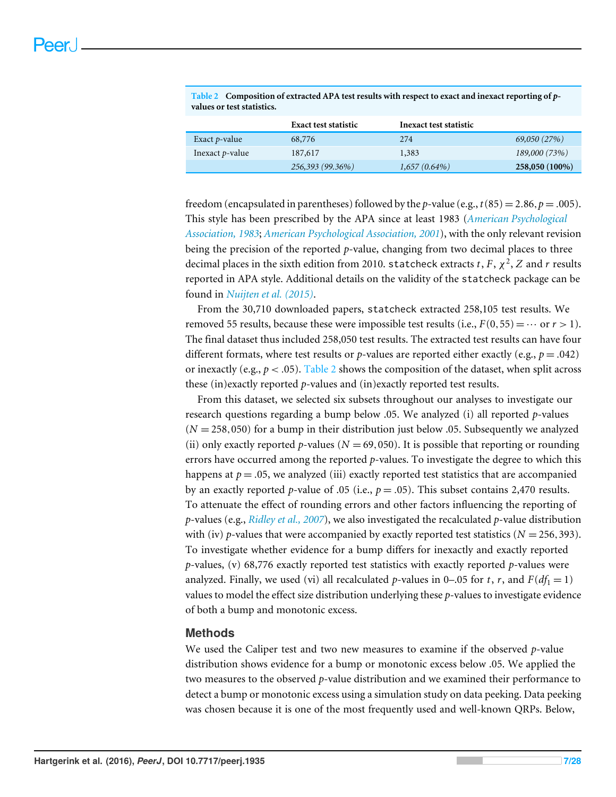|                         | <b>Exact test statistic</b> | Inexact test statistic |                |
|-------------------------|-----------------------------|------------------------|----------------|
| Exact $p$ -value        | 68,776                      | 274                    | 69,050 (27%)   |
| Inexact <i>p</i> -value | 187,617                     | 1,383                  | 189,000 (73%)  |
|                         | 256,393 (99.36%)            | $1,657(0.64\%)$        | 258,050 (100%) |

<span id="page-6-0"></span>**Table 2 Composition of extracted APA test results with respect to exact and inexact reporting of** *p***values or test statistics.**

freedom (encapsulated in parentheses) followed by the *p*-value (e.g.,  $t(85) = 2.86$ ,  $p = .005$ ). This style has been prescribed by the APA since at least 1983 (*[American Psychological](#page-24-2) [Association, 1983](#page-24-2)*; *[American Psychological Association, 2001](#page-24-3)*), with the only relevant revision being the precision of the reported *p*-value, changing from two decimal places to three decimal places in the sixth edition from 2010.  $\mathsf{state}$  extracts  $t, F, \chi^2, Z$  and  $r$  results reported in APA style. Additional details on the validity of the statcheck package can be found in *[Nuijten et al. \(2015\)](#page-26-1)*.

From the 30,710 downloaded papers, statcheck extracted 258,105 test results. We removed 55 results, because these were impossible test results (i.e.,  $F(0,55) = \cdots$  or  $r > 1$ ). The final dataset thus included 258,050 test results. The extracted test results can have four different formats, where test results or *p*-values are reported either exactly (e.g.,  $p = .042$ ) or inexactly (e.g.,  $p < .05$ ). [Table 2](#page-6-0) shows the composition of the dataset, when split across these (in)exactly reported *p*-values and (in)exactly reported test results.

From this dataset, we selected six subsets throughout our analyses to investigate our research questions regarding a bump below .05. We analyzed (i) all reported *p*-values  $(N = 258,050)$  for a bump in their distribution just below .05. Subsequently we analyzed (ii) only exactly reported *p*-values ( $N = 69,050$ ). It is possible that reporting or rounding errors have occurred among the reported *p*-values. To investigate the degree to which this happens at  $p = 0.05$ , we analyzed (iii) exactly reported test statistics that are accompanied by an exactly reported *p*-value of .05 (i.e.,  $p = .05$ ). This subset contains 2,470 results. To attenuate the effect of rounding errors and other factors influencing the reporting of *p*-values (e.g., *[Ridley et al., 2007](#page-27-8)*), we also investigated the recalculated *p*-value distribution with (iv) *p*-values that were accompanied by exactly reported test statistics ( $N = 256,393$ ). To investigate whether evidence for a bump differs for inexactly and exactly reported *p*-values, (v) 68,776 exactly reported test statistics with exactly reported *p*-values were analyzed. Finally, we used (vi) all recalculated *p*-values in 0–.05 for *t*, *r*, and  $F(df_1 = 1)$ values to model the effect size distribution underlying these *p*-values to investigate evidence of both a bump and monotonic excess.

#### **Methods**

We used the Caliper test and two new measures to examine if the observed *p*-value distribution shows evidence for a bump or monotonic excess below .05. We applied the two measures to the observed *p*-value distribution and we examined their performance to detect a bump or monotonic excess using a simulation study on data peeking. Data peeking was chosen because it is one of the most frequently used and well-known QRPs. Below,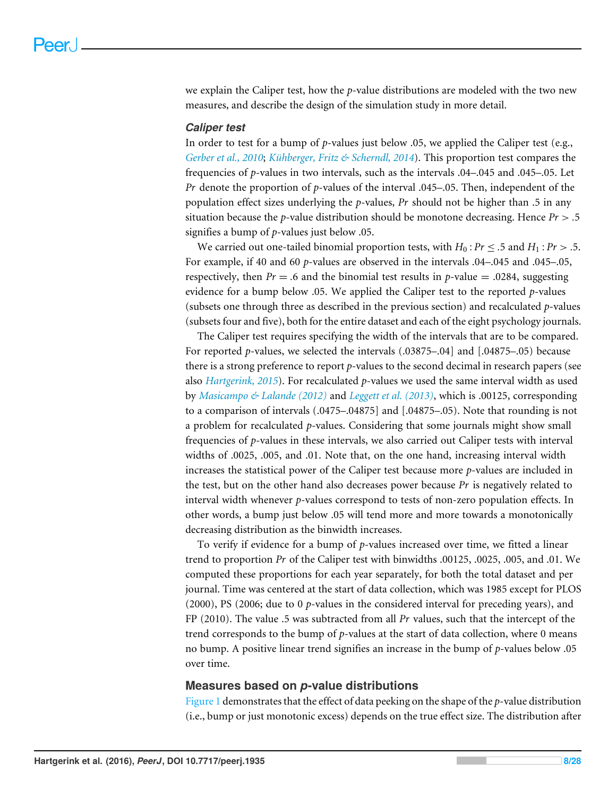we explain the Caliper test, how the *p*-value distributions are modeled with the two new measures, and describe the design of the simulation study in more detail.

#### *Caliper test*

In order to test for a bump of *p*-values just below .05, we applied the Caliper test (e.g., *[Gerber et al., 2010](#page-25-5)*; *[Kühberger, Fritz & Scherndl, 2014](#page-26-11)*). This proportion test compares the frequencies of *p*-values in two intervals, such as the intervals .04–.045 and .045–.05. Let *Pr* denote the proportion of *p*-values of the interval .045–.05. Then, independent of the population effect sizes underlying the *p*-values, *Pr* should not be higher than .5 in any situation because the *p*-value distribution should be monotone decreasing. Hence *Pr* > .5 signifies a bump of *p*-values just below .05.

We carried out one-tailed binomial proportion tests, with  $H_0: Pr \leq .5$  and  $H_1: Pr > .5$ . For example, if 40 and 60 *p*-values are observed in the intervals .04–.045 and .045–.05, respectively, then  $Pr = .6$  and the binomial test results in  $p$ -value = .0284, suggesting evidence for a bump below .05. We applied the Caliper test to the reported *p*-values (subsets one through three as described in the previous section) and recalculated *p*-values (subsets four and five), both for the entire dataset and each of the eight psychology journals.

The Caliper test requires specifying the width of the intervals that are to be compared. For reported *p*-values, we selected the intervals (.03875–.04] and [.04875–.05) because there is a strong preference to report *p*-values to the second decimal in research papers (see also *[Hartgerink, 2015](#page-26-12)*). For recalculated *p*-values we used the same interval width as used by *[Masicampo & Lalande \(2012\)](#page-26-4)* and *[Leggett et al. \(2013\)](#page-26-5)*, which is .00125, corresponding to a comparison of intervals (.0475–.04875] and [.04875–.05). Note that rounding is not a problem for recalculated *p*-values. Considering that some journals might show small frequencies of *p*-values in these intervals, we also carried out Caliper tests with interval widths of .0025, .005, and .01. Note that, on the one hand, increasing interval width increases the statistical power of the Caliper test because more *p*-values are included in the test, but on the other hand also decreases power because *Pr* is negatively related to interval width whenever *p*-values correspond to tests of non-zero population effects. In other words, a bump just below .05 will tend more and more towards a monotonically decreasing distribution as the binwidth increases.

To verify if evidence for a bump of *p*-values increased over time, we fitted a linear trend to proportion *Pr* of the Caliper test with binwidths .00125, .0025, .005, and .01. We computed these proportions for each year separately, for both the total dataset and per journal. Time was centered at the start of data collection, which was 1985 except for PLOS (2000), PS (2006; due to 0 *p*-values in the considered interval for preceding years), and FP (2010). The value .5 was subtracted from all *Pr* values, such that the intercept of the trend corresponds to the bump of *p*-values at the start of data collection, where 0 means no bump. A positive linear trend signifies an increase in the bump of *p*-values below .05 over time.

#### **Measures based on** *p***-value distributions**

[Figure 1](#page-1-0) demonstrates that the effect of data peeking on the shape of the *p*-value distribution (i.e., bump or just monotonic excess) depends on the true effect size. The distribution after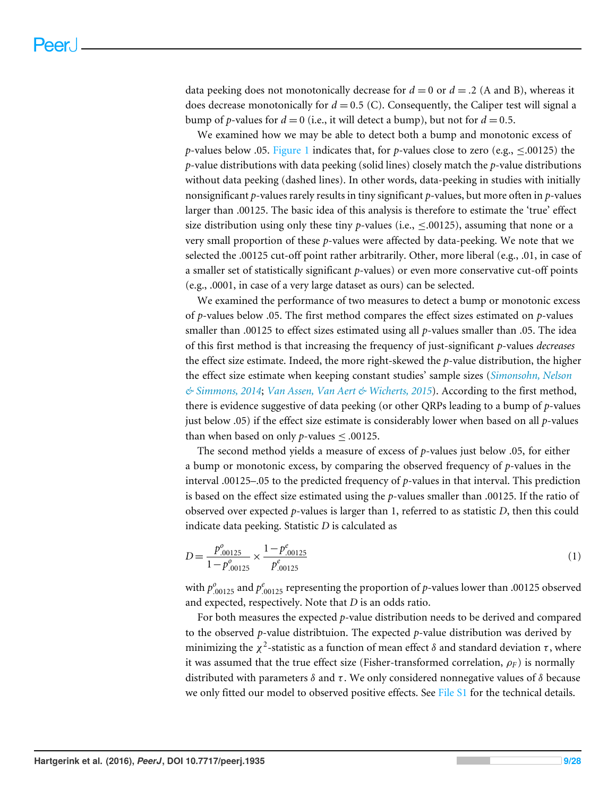data peeking does not monotonically decrease for  $d = 0$  or  $d = .2$  (A and B), whereas it does decrease monotonically for  $d = 0.5$  (C). Consequently, the Caliper test will signal a bump of *p*-values for  $d = 0$  (i.e., it will detect a bump), but not for  $d = 0.5$ .

We examined how we may be able to detect both a bump and monotonic excess of *p*-values below .05. [Figure 1](#page-1-0) indicates that, for *p*-values close to zero (e.g., ≤.00125) the *p*-value distributions with data peeking (solid lines) closely match the *p*-value distributions without data peeking (dashed lines). In other words, data-peeking in studies with initially nonsignificant *p*-values rarely results in tiny significant *p*-values, but more often in *p*-values larger than .00125. The basic idea of this analysis is therefore to estimate the 'true' effect size distribution using only these tiny *p*-values (i.e.,  $\leq$ .00125), assuming that none or a very small proportion of these *p*-values were affected by data-peeking. We note that we selected the .00125 cut-off point rather arbitrarily. Other, more liberal (e.g., .01, in case of a smaller set of statistically significant *p*-values) or even more conservative cut-off points (e.g., .0001, in case of a very large dataset as ours) can be selected.

We examined the performance of two measures to detect a bump or monotonic excess of *p*-values below .05. The first method compares the effect sizes estimated on *p*-values smaller than .00125 to effect sizes estimated using all *p*-values smaller than .05. The idea of this first method is that increasing the frequency of just-significant *p*-values *decreases* the effect size estimate. Indeed, the more right-skewed the *p*-value distribution, the higher the effect size estimate when keeping constant studies' sample sizes (*[Simonsohn, Nelson](#page-27-9) [& Simmons, 2014](#page-27-9)*; *[Van Assen, Van Aert & Wicherts, 2015](#page-27-10)*). According to the first method, there is evidence suggestive of data peeking (or other QRPs leading to a bump of *p*-values just below .05) if the effect size estimate is considerably lower when based on all *p*-values than when based on only *p*-values  $\leq$  .00125.

The second method yields a measure of excess of *p*-values just below .05, for either a bump or monotonic excess, by comparing the observed frequency of *p*-values in the interval .00125–.05 to the predicted frequency of *p*-values in that interval. This prediction is based on the effect size estimated using the *p*-values smaller than .00125. If the ratio of observed over expected *p*-values is larger than 1, referred to as statistic *D*, then this could indicate data peeking. Statistic *D* is calculated as

$$
D = \frac{p_{.00125}^o}{1 - p_{.00125}^o} \times \frac{1 - p_{.00125}^e}{p_{.00125}^e} \tag{1}
$$

with  $p_{.00125}^o$  and  $p_{.00125}^e$  representing the proportion of *p*-values lower than .00125 observed and expected, respectively. Note that *D* is an odds ratio.

For both measures the expected *p*-value distribution needs to be derived and compared to the observed *p*-value distribtuion. The expected *p*-value distribution was derived by minimizing the  $\chi^2$ -statistic as a function of mean effect  $\delta$  and standard deviation  $\tau$ , where it was assumed that the true effect size (Fisher-transformed correlation,  $\rho_F$ ) is normally distributed with parameters  $\delta$  and  $\tau$ . We only considered nonnegative values of  $\delta$  because we only fitted our model to observed positive effects. See [File S1](http://dx.doi.org/10.7717/peerj.1935/supp-1) for the technical details.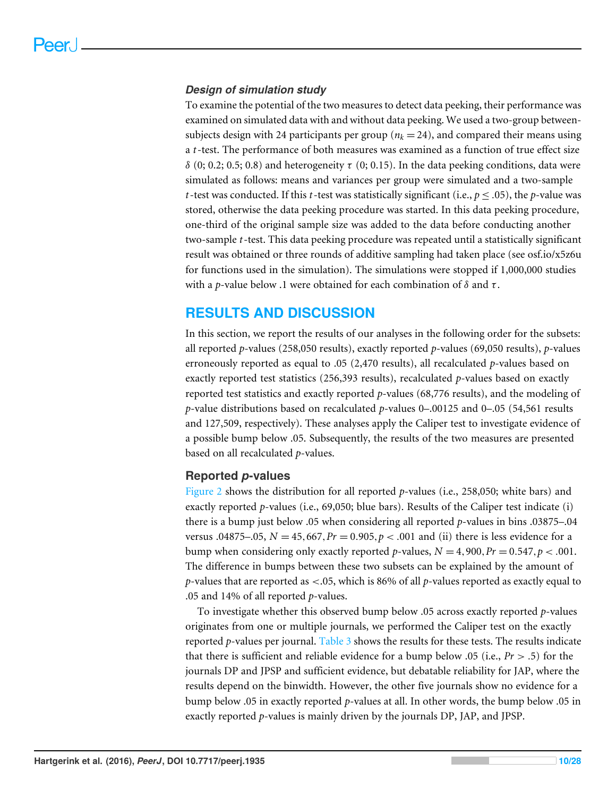#### *Design of simulation study*

To examine the potential of the two measures to detect data peeking, their performance was examined on simulated data with and without data peeking. We used a two-group betweensubjects design with 24 participants per group ( $n_k = 24$ ), and compared their means using a *t*-test. The performance of both measures was examined as a function of true effect size δ (0; 0.2; 0.5; 0.8) and heterogeneity τ (0; 0.15). In the data peeking conditions, data were simulated as follows: means and variances per group were simulated and a two-sample *t*-test was conducted. If this *t*-test was statistically significant (i.e.,  $p < .05$ ), the *p*-value was stored, otherwise the data peeking procedure was started. In this data peeking procedure, one-third of the original sample size was added to the data before conducting another two-sample *t*-test. This data peeking procedure was repeated until a statistically significant result was obtained or three rounds of additive sampling had taken place (see osf.io/x5z6u for functions used in the simulation). The simulations were stopped if 1,000,000 studies with a *p*-value below .1 were obtained for each combination of  $\delta$  and  $\tau$ .

## **RESULTS AND DISCUSSION**

In this section, we report the results of our analyses in the following order for the subsets: all reported *p*-values (258,050 results), exactly reported *p*-values (69,050 results), *p*-values erroneously reported as equal to .05 (2,470 results), all recalculated *p*-values based on exactly reported test statistics (256,393 results), recalculated *p*-values based on exactly reported test statistics and exactly reported *p*-values (68,776 results), and the modeling of *p*-value distributions based on recalculated *p*-values 0–.00125 and 0–.05 (54,561 results and 127,509, respectively). These analyses apply the Caliper test to investigate evidence of a possible bump below .05. Subsequently, the results of the two measures are presented based on all recalculated *p*-values.

#### **Reported** *p***-values**

[Figure 2](#page-11-0) shows the distribution for all reported *p*-values (i.e., 258,050; white bars) and exactly reported *p*-values (i.e., 69,050; blue bars). Results of the Caliper test indicate (i) there is a bump just below .05 when considering all reported *p*-values in bins .03875–.04 versus .04875–.05,  $N = 45,667, Pr = 0.905, p < .001$  and (ii) there is less evidence for a bump when considering only exactly reported *p*-values,  $N = 4,900$ ,  $Pr = 0.547$ ,  $p < .001$ . The difference in bumps between these two subsets can be explained by the amount of *p*-values that are reported as <.05, which is 86% of all *p*-values reported as exactly equal to .05 and 14% of all reported *p*-values.

To investigate whether this observed bump below .05 across exactly reported *p*-values originates from one or multiple journals, we performed the Caliper test on the exactly reported *p*-values per journal. [Table 3](#page-10-0) shows the results for these tests. The results indicate that there is sufficient and reliable evidence for a bump below .05 (i.e.,  $Pr > .5$ ) for the journals DP and JPSP and sufficient evidence, but debatable reliability for JAP, where the results depend on the binwidth. However, the other five journals show no evidence for a bump below .05 in exactly reported *p*-values at all. In other words, the bump below .05 in exactly reported *p*-values is mainly driven by the journals DP, JAP, and JPSP.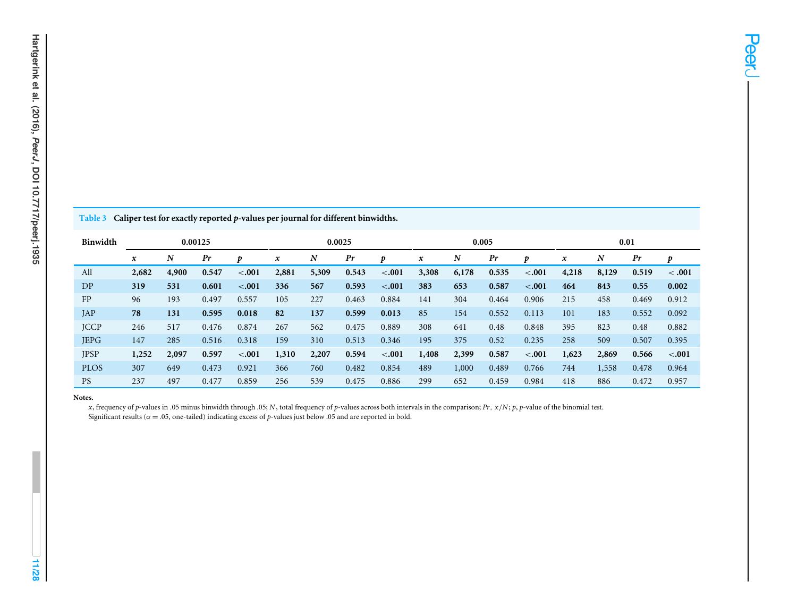<span id="page-10-0"></span>

| Hartgerink et al. (2016), PeerJ, DOI 10.7717/peerj.1935 |               |
|---------------------------------------------------------|---------------|
|                                                         |               |
|                                                         |               |
|                                                         | Table 3       |
|                                                         | <b>Binwid</b> |
|                                                         | All           |
|                                                         | DP            |

3 Caliper test for exactly reported  $p$ -values per journal for different binwidths.

| Binwidth    |             |       | 0.00125 |         | 0.0025 |                  |       | 0.005   |                           |       |       | 0.01    |                  |       |       |         |
|-------------|-------------|-------|---------|---------|--------|------------------|-------|---------|---------------------------|-------|-------|---------|------------------|-------|-------|---------|
|             | $\mathbf x$ | N     | Pr      | Ð       | x      | $\boldsymbol{N}$ | Pr    | Ð       | $\boldsymbol{\mathsf{x}}$ | N     | Pr    | D       | $\boldsymbol{x}$ | N     | Pr    | D       |
| All         | 2,682       | 4,900 | 0.547   | $-.001$ | 2,881  | 5,309            | 0.543 | $-.001$ | 3,308                     | 6,178 | 0.535 | $-.001$ | 4,218            | 8,129 | 0.519 | < .001  |
| DP          | 319         | 531   | 0.601   | $-.001$ | 336    | 567              | 0.593 | $-.001$ | 383                       | 653   | 0.587 | $-.001$ | 464              | 843   | 0.55  | 0.002   |
| FP          | 96          | 193   | 0.497   | 0.557   | 105    | 227              | 0.463 | 0.884   | 141                       | 304   | 0.464 | 0.906   | 215              | 458   | 0.469 | 0.912   |
| JAP         | 78          | 131   | 0.595   | 0.018   | 82     | 137              | 0.599 | 0.013   | 85                        | 154   | 0.552 | 0.113   | 101              | 183   | 0.552 | 0.092   |
| <b>JCCP</b> | 246         | 517   | 0.476   | 0.874   | 267    | 562              | 0.475 | 0.889   | 308                       | 641   | 0.48  | 0.848   | 395              | 823   | 0.48  | 0.882   |
| <b>JEPG</b> | 147         | 285   | 0.516   | 0.318   | 159    | 310              | 0.513 | 0.346   | 195                       | 375   | 0.52  | 0.235   | 258              | 509   | 0.507 | 0.395   |
| <b>JPSP</b> | 1,252       | 2,097 | 0.597   | $-.001$ | 1,310  | 2,207            | 0.594 | $-.001$ | 1,408                     | 2,399 | 0.587 | $-.001$ | 1,623            | 2,869 | 0.566 | $-.001$ |
| <b>PLOS</b> | 307         | 649   | 0.473   | 0.921   | 366    | 760              | 0.482 | 0.854   | 489                       | 1,000 | 0.489 | 0.766   | 744              | 1,558 | 0.478 | 0.964   |
| <b>PS</b>   | 237         | 497   | 0.477   | 0.859   | 256    | 539              | 0.475 | 0.886   | 299                       | 652   | 0.459 | 0.984   | 418              | 886   | 0.472 | 0.957   |

#### **Notes.**

x, frequency of p-values in .05 minus binwidth through .05; N, total frequency of p-values across both intervals in the comparison; Pr,  $x/N$ ; p, p-value of the binomial test. Significant results ( $\alpha$  = .05, one-tailed) indicating excess of *p*-values just below .05 and are reported in bold.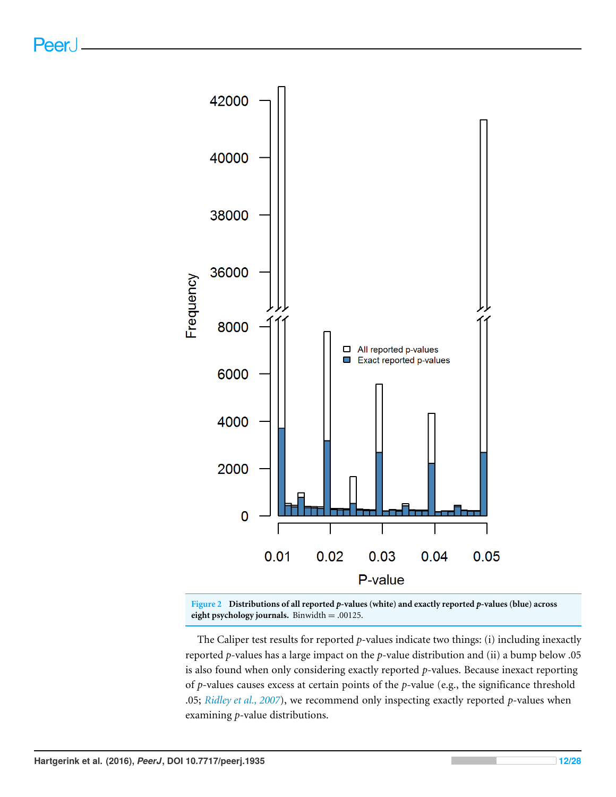<span id="page-11-0"></span>

**Figure 2 Distributions of all reported** *p***-values (white) and exactly reported** *p***-values (blue) across eight psychology journals.** Binwidth = .00125.

The Caliper test results for reported *p*-values indicate two things: (i) including inexactly reported *p*-values has a large impact on the *p*-value distribution and (ii) a bump below .05 is also found when only considering exactly reported *p*-values. Because inexact reporting of *p*-values causes excess at certain points of the *p*-value (e.g., the significance threshold .05; *[Ridley et al., 2007](#page-27-8)*), we recommend only inspecting exactly reported *p*-values when examining *p*-value distributions.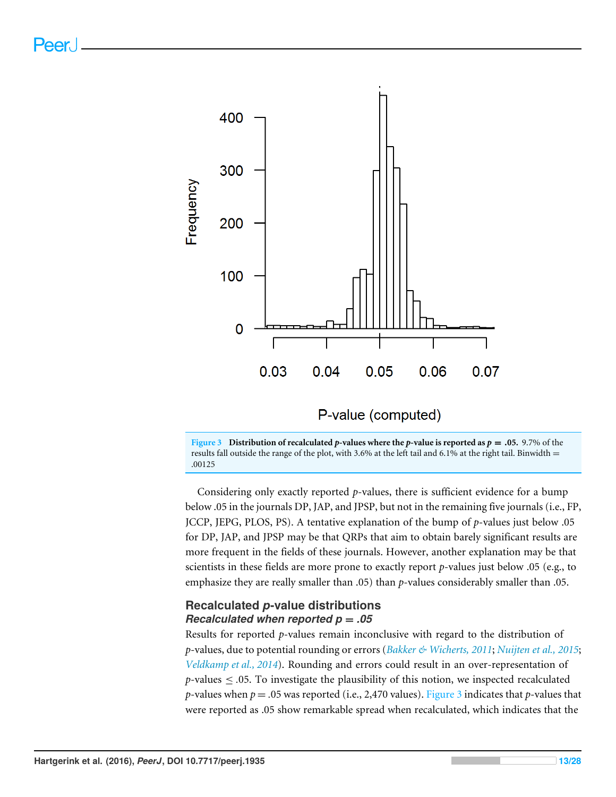<span id="page-12-0"></span>



Considering only exactly reported *p*-values, there is sufficient evidence for a bump below .05 in the journals DP, JAP, and JPSP, but not in the remaining five journals (i.e., FP, JCCP, JEPG, PLOS, PS). A tentative explanation of the bump of *p*-values just below .05 for DP, JAP, and JPSP may be that QRPs that aim to obtain barely significant results are more frequent in the fields of these journals. However, another explanation may be that scientists in these fields are more prone to exactly report *p*-values just below .05 (e.g., to emphasize they are really smaller than .05) than *p*-values considerably smaller than .05.

#### **Recalculated** *p***-value distributions** *Recalculated when reported p* = *.05*

Results for reported *p*-values remain inconclusive with regard to the distribution of *p*-values, due to potential rounding or errors (*[Bakker & Wicherts, 2011](#page-25-7)*; *[Nuijten et al., 2015](#page-26-1)*; *[Veldkamp et al., 2014](#page-27-7)*). Rounding and errors could result in an over-representation of *p*-values  $\leq$  .05. To investigate the plausibility of this notion, we inspected recalculated *p*-values when  $p = .05$  was reported (i.e., 2,470 values). [Figure 3](#page-12-0) indicates that *p*-values that were reported as .05 show remarkable spread when recalculated, which indicates that the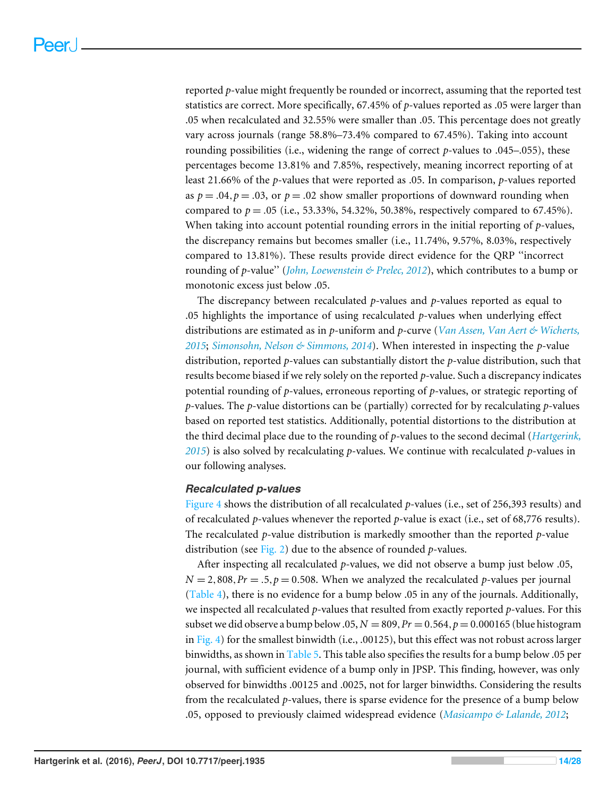reported *p*-value might frequently be rounded or incorrect, assuming that the reported test statistics are correct. More specifically, 67.45% of *p*-values reported as .05 were larger than .05 when recalculated and 32.55% were smaller than .05. This percentage does not greatly vary across journals (range 58.8%–73.4% compared to 67.45%). Taking into account rounding possibilities (i.e., widening the range of correct *p*-values to .045–.055), these percentages become 13.81% and 7.85%, respectively, meaning incorrect reporting of at least 21.66% of the *p*-values that were reported as .05. In comparison, *p*-values reported as  $p = .04$ ,  $p = .03$ , or  $p = .02$  show smaller proportions of downward rounding when compared to  $p = .05$  (i.e., 53.33%, 54.32%, 50.38%, respectively compared to 67.45%). When taking into account potential rounding errors in the initial reporting of *p*-values, the discrepancy remains but becomes smaller (i.e., 11.74%, 9.57%, 8.03%, respectively compared to 13.81%). These results provide direct evidence for the QRP ''incorrect rounding of *p*-value'' (*[John, Loewenstein & Prelec, 2012](#page-26-0)*), which contributes to a bump or monotonic excess just below .05.

The discrepancy between recalculated *p*-values and *p*-values reported as equal to .05 highlights the importance of using recalculated *p*-values when underlying effect distributions are estimated as in *p*-uniform and *p*-curve (*[Van Assen, Van Aert & Wicherts,](#page-27-10) [2015](#page-27-10)*; *[Simonsohn, Nelson & Simmons, 2014](#page-27-9)*). When interested in inspecting the *p*-value distribution, reported *p*-values can substantially distort the *p*-value distribution, such that results become biased if we rely solely on the reported *p*-value. Such a discrepancy indicates potential rounding of *p*-values, erroneous reporting of *p*-values, or strategic reporting of *p*-values. The *p*-value distortions can be (partially) corrected for by recalculating *p*-values based on reported test statistics. Additionally, potential distortions to the distribution at the third decimal place due to the rounding of *p*-values to the second decimal (*[Hartgerink,](#page-26-12) [2015](#page-26-12)*) is also solved by recalculating *p*-values. We continue with recalculated *p*-values in our following analyses.

#### *Recalculated p-values*

[Figure 4](#page-14-0) shows the distribution of all recalculated *p*-values (i.e., set of 256,393 results) and of recalculated *p*-values whenever the reported *p*-value is exact (i.e., set of 68,776 results). The recalculated *p*-value distribution is markedly smoother than the reported *p*-value distribution (see [Fig. 2\)](#page-11-0) due to the absence of rounded *p*-values.

After inspecting all recalculated *p*-values, we did not observe a bump just below .05,  $N = 2,808, Pr = .5, p = 0.508$ . When we analyzed the recalculated *p*-values per journal [\(Table 4\)](#page-15-0), there is no evidence for a bump below .05 in any of the journals. Additionally, we inspected all recalculated *p*-values that resulted from exactly reported *p*-values. For this subset we did observe a bump below .05,  $N = 809$ ,  $Pr = 0.564$ ,  $p = 0.000165$  (blue histogram in [Fig. 4\)](#page-14-0) for the smallest binwidth (i.e., .00125), but this effect was not robust across larger binwidths, as shown in [Table 5.](#page-16-0) This table also specifies the results for a bump below .05 per journal, with sufficient evidence of a bump only in JPSP. This finding, however, was only observed for binwidths .00125 and .0025, not for larger binwidths. Considering the results from the recalculated *p*-values, there is sparse evidence for the presence of a bump below .05, opposed to previously claimed widespread evidence (*[Masicampo & Lalande, 2012](#page-26-4)*;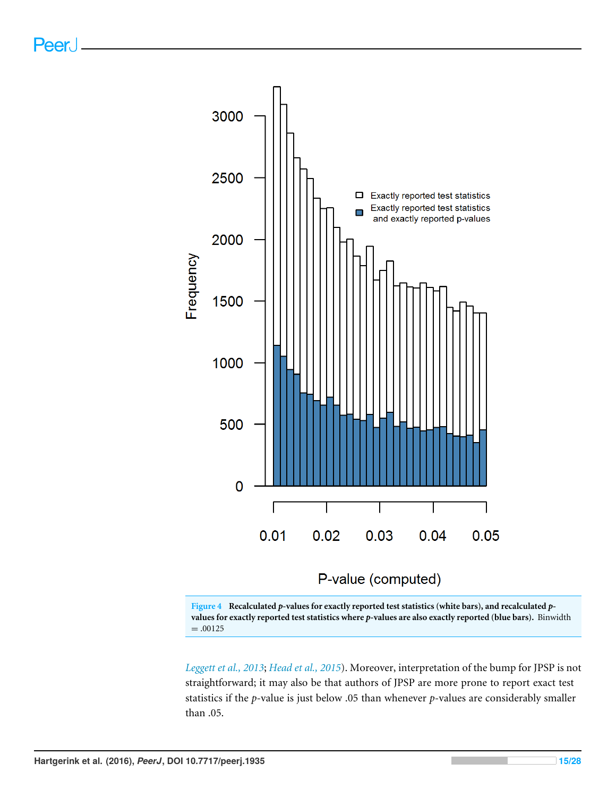<span id="page-14-0"></span>



*[Leggett et al., 2013](#page-26-5)*; *[Head et al., 2015](#page-26-6)*). Moreover, interpretation of the bump for JPSP is not straightforward; it may also be that authors of JPSP are more prone to report exact test statistics if the *p*-value is just below .05 than whenever *p*-values are considerably smaller than .05.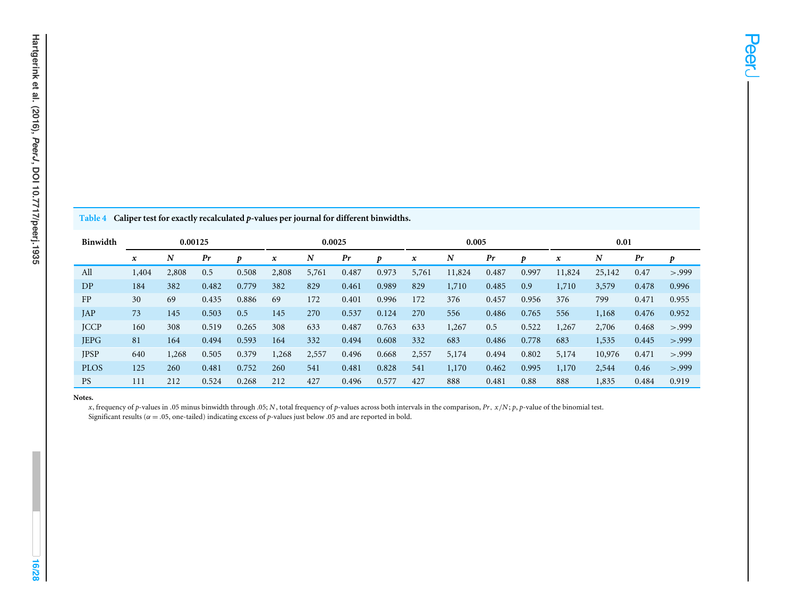<span id="page-15-0"></span>

| Hartgerink et al. (2016), PeerJ, DOI 10.7717/peerj.1935 |  |
|---------------------------------------------------------|--|

Table 4 Caliper test for exactly recalculated p-values per journal for different binwidths.

| <b>Binwidth</b> |                  | 0.00125 |       |       | 0.0025       |       |       | 0.005 |       |        |       | 0.01  |                     |        |       |        |
|-----------------|------------------|---------|-------|-------|--------------|-------|-------|-------|-------|--------|-------|-------|---------------------|--------|-------|--------|
|                 | $\boldsymbol{x}$ | N       | Pr    | Ð     | $\pmb{\chi}$ | N     | Pr    | Ð     | x     | N      | Pr    | D     | $\pmb{\mathcal{X}}$ | N      | Pr    | p      |
| All             | 1,404            | 2,808   | 0.5   | 0.508 | 2,808        | 5,761 | 0.487 | 0.973 | 5,761 | 11,824 | 0.487 | 0.997 | 11,824              | 25,142 | 0.47  | > .999 |
| DP              | 184              | 382     | 0.482 | 0.779 | 382          | 829   | 0.461 | 0.989 | 829   | 1,710  | 0.485 | 0.9   | 1,710               | 3,579  | 0.478 | 0.996  |
| FP              | 30               | 69      | 0.435 | 0.886 | 69           | 172   | 0.401 | 0.996 | 172   | 376    | 0.457 | 0.956 | 376                 | 799    | 0.471 | 0.955  |
| JAP             | 73               | 145     | 0.503 | 0.5   | 145          | 270   | 0.537 | 0.124 | 270   | 556    | 0.486 | 0.765 | 556                 | 1,168  | 0.476 | 0.952  |
| <b>JCCP</b>     | 160              | 308     | 0.519 | 0.265 | 308          | 633   | 0.487 | 0.763 | 633   | 1,267  | 0.5   | 0.522 | 1,267               | 2,706  | 0.468 | > .999 |
| <b>JEPG</b>     | 81               | 164     | 0.494 | 0.593 | 164          | 332   | 0.494 | 0.608 | 332   | 683    | 0.486 | 0.778 | 683                 | 1,535  | 0.445 | > .999 |
| <b>JPSP</b>     | 640              | 1,268   | 0.505 | 0.379 | 1,268        | 2,557 | 0.496 | 0.668 | 2,557 | 5,174  | 0.494 | 0.802 | 5,174               | 10,976 | 0.471 | > .999 |
| <b>PLOS</b>     | 125              | 260     | 0.481 | 0.752 | 260          | 541   | 0.481 | 0.828 | 541   | 1,170  | 0.462 | 0.995 | 1,170               | 2,544  | 0.46  | > .999 |
| <b>PS</b>       | 111              | 212     | 0.524 | 0.268 | 212          | 427   | 0.496 | 0.577 | 427   | 888    | 0.481 | 0.88  | 888                 | 1,835  | 0.484 | 0.919  |

#### **Notes.**

x, frequency of p-values in .05 minus binwidth through .05; N, total frequency of p-values across both intervals in the comparison,  $Pr$ ,  $x/N$ ; p, p-value of the binomial test. Significant results ( $\alpha$  = .05, one-tailed) indicating excess of *p*-values just below .05 and are reported in bold.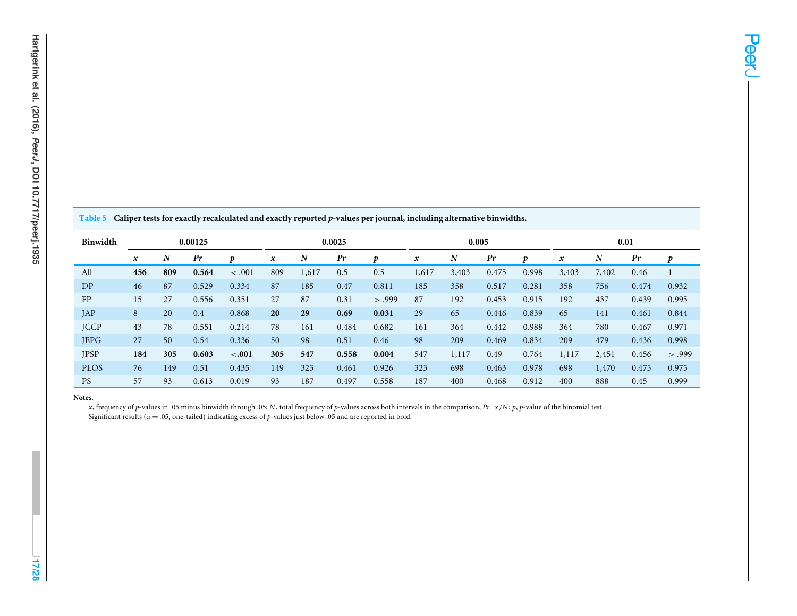<span id="page-16-0"></span>

| Binwidth    | 0.00125          |     |       | 0.0025  |                  |       | 0.005 |        |       |       | 0.01  |       |       |       |       |        |
|-------------|------------------|-----|-------|---------|------------------|-------|-------|--------|-------|-------|-------|-------|-------|-------|-------|--------|
|             | $\boldsymbol{x}$ | N   | Pr    | D       | $\boldsymbol{x}$ | N     | Pr    | D      | x     | N     | Pr    | D     | x     | N     | Pr    | D      |
| All         | 456              | 809 | 0.564 | < .001  | 809              | 1,617 | 0.5   | 0.5    | 1,617 | 3,403 | 0.475 | 0.998 | 3,403 | 7,402 | 0.46  |        |
| DP          | 46               | 87  | 0.529 | 0.334   | 87               | 185   | 0.47  | 0.811  | 185   | 358   | 0.517 | 0.281 | 358   | 756   | 0.474 | 0.932  |
| FP          | 15               | 27  | 0.556 | 0.351   | 27               | 87    | 0.31  | > .999 | 87    | 192   | 0.453 | 0.915 | 192   | 437   | 0.439 | 0.995  |
| JAP         | 8                | 20  | 0.4   | 0.868   | 20               | 29    | 0.69  | 0.031  | 29    | 65    | 0.446 | 0.839 | 65    | 141   | 0.461 | 0.844  |
| <b>JCCP</b> | 43               | 78  | 0.551 | 0.214   | 78               | 161   | 0.484 | 0.682  | 161   | 364   | 0.442 | 0.988 | 364   | 780   | 0.467 | 0.971  |
| <b>JEPG</b> | 27               | 50  | 0.54  | 0.336   | 50               | 98    | 0.51  | 0.46   | 98    | 209   | 0.469 | 0.834 | 209   | 479   | 0.436 | 0.998  |
| <b>JPSP</b> | 184              | 305 | 0.603 | $-.001$ | 305              | 547   | 0.558 | 0.004  | 547   | 1,117 | 0.49  | 0.764 | 1,117 | 2,451 | 0.456 | > .999 |
| <b>PLOS</b> | 76               | 149 | 0.51  | 0.435   | 149              | 323   | 0.461 | 0.926  | 323   | 698   | 0.463 | 0.978 | 698   | 1,470 | 0.475 | 0.975  |
| <b>PS</b>   | 57               | 93  | 0.613 | 0.019   | 93               | 187   | 0.497 | 0.558  | 187   | 400   | 0.468 | 0.912 | 400   | 888   | 0.45  | 0.999  |

#### **Notes.**

x, frequency of p-values in .05 minus binwidth through .05; N, total frequency of p-values across both intervals in the comparison,  $Pr$ ,  $x/N$ ; p, p-value of the binomial test. Significant results ( $\alpha$  = .05, one-tailed) indicating excess of *p*-values just below .05 and are reported in bold.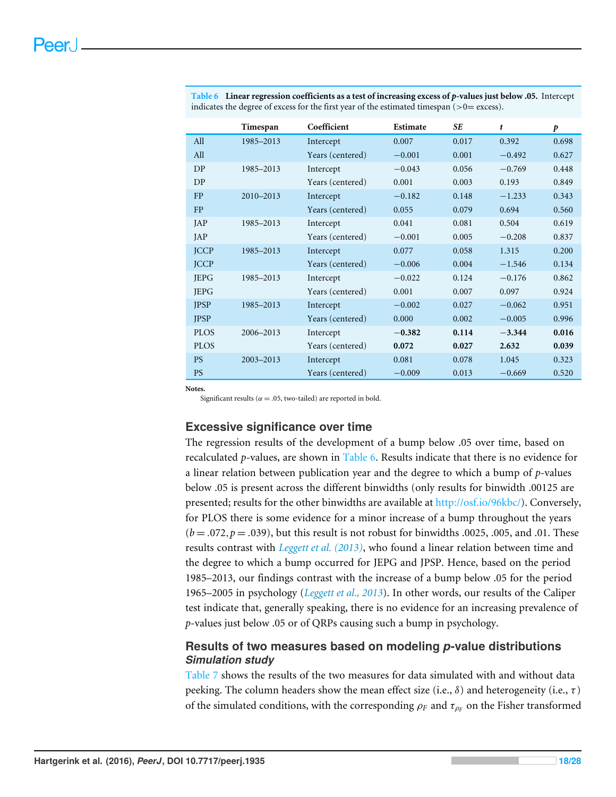|             | Timespan      | Coefficient      | Estimate | <b>SE</b> | t        | p     |
|-------------|---------------|------------------|----------|-----------|----------|-------|
| All         | 1985-2013     | Intercept        | 0.007    | 0.017     | 0.392    | 0.698 |
| All         |               | Years (centered) | $-0.001$ | 0.001     | $-0.492$ | 0.627 |
| DP          | 1985-2013     | Intercept        | $-0.043$ | 0.056     | $-0.769$ | 0.448 |
| DP          |               | Years (centered) | 0.001    | 0.003     | 0.193    | 0.849 |
| FP          | $2010 - 2013$ | Intercept        | $-0.182$ | 0.148     | $-1.233$ | 0.343 |
| FP          |               | Years (centered) | 0.055    | 0.079     | 0.694    | 0.560 |
| JAP         | 1985-2013     | Intercept        | 0.041    | 0.081     | 0.504    | 0.619 |
| JAP         |               | Years (centered) | $-0.001$ | 0.005     | $-0.208$ | 0.837 |
| <b>JCCP</b> | 1985-2013     | Intercept        | 0.077    | 0.058     | 1.315    | 0.200 |
| <b>JCCP</b> |               | Years (centered) | $-0.006$ | 0.004     | $-1.546$ | 0.134 |
| <b>JEPG</b> | 1985-2013     | Intercept        | $-0.022$ | 0.124     | $-0.176$ | 0.862 |
| <b>JEPG</b> |               | Years (centered) | 0.001    | 0.007     | 0.097    | 0.924 |
| <b>JPSP</b> | 1985-2013     | Intercept        | $-0.002$ | 0.027     | $-0.062$ | 0.951 |
| <b>JPSP</b> |               | Years (centered) | 0.000    | 0.002     | $-0.005$ | 0.996 |
| <b>PLOS</b> | 2006-2013     | Intercept        | $-0.382$ | 0.114     | $-3.344$ | 0.016 |
| <b>PLOS</b> |               | Years (centered) | 0.072    | 0.027     | 2.632    | 0.039 |
| <b>PS</b>   | 2003-2013     | Intercept        | 0.081    | 0.078     | 1.045    | 0.323 |
| <b>PS</b>   |               | Years (centered) | $-0.009$ | 0.013     | $-0.669$ | 0.520 |

<span id="page-17-0"></span>**Table 6 Linear regression coefficients as a test of increasing excess of** *p***-values just below .05.** Intercept indicates the degree of excess for the first year of the estimated timespan  $(>=0=$  excess).

**Notes.**

Significant results ( $\alpha = .05$ , two-tailed) are reported in bold.

#### **Excessive significance over time**

The regression results of the development of a bump below .05 over time, based on recalculated *p*-values, are shown in [Table 6.](#page-17-0) Results indicate that there is no evidence for a linear relation between publication year and the degree to which a bump of *p*-values below .05 is present across the different binwidths (only results for binwidth .00125 are presented; results for the other binwidths are available at [http://osf.io/96kbc/\)](http://osf.io/96kbc/). Conversely, for PLOS there is some evidence for a minor increase of a bump throughout the years  $(b = .072, p = .039)$ , but this result is not robust for binwidths .0025, .005, and .01. These results contrast with *[Leggett et al. \(2013\)](#page-26-5)*, who found a linear relation between time and the degree to which a bump occurred for JEPG and JPSP. Hence, based on the period 1985–2013, our findings contrast with the increase of a bump below .05 for the period 1965–2005 in psychology (*[Leggett et al., 2013](#page-26-5)*). In other words, our results of the Caliper test indicate that, generally speaking, there is no evidence for an increasing prevalence of *p*-values just below .05 or of QRPs causing such a bump in psychology.

## **Results of two measures based on modeling** *p***-value distributions** *Simulation study*

[Table 7](#page-18-0) shows the results of the two measures for data simulated with and without data peeking. The column headers show the mean effect size (i.e.,  $\delta$ ) and heterogeneity (i.e.,  $\tau$ ) of the simulated conditions, with the corresponding  $\rho_F$  and  $\tau_{\rho_F}$  on the Fisher transformed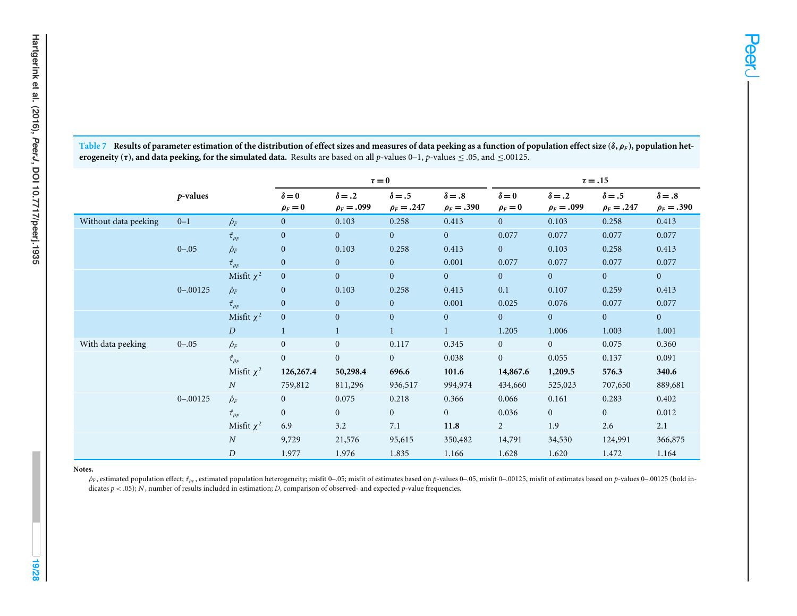|                      |             |                       |                            | $\tau = 0$                       |                                  |                                  | $\tau = .15$               |                                  |                                  |                                  |  |  |
|----------------------|-------------|-----------------------|----------------------------|----------------------------------|----------------------------------|----------------------------------|----------------------------|----------------------------------|----------------------------------|----------------------------------|--|--|
|                      | $p$ -values |                       | $\delta = 0$<br>$\rho_F=0$ | $\delta = .2$<br>$\rho_F = .099$ | $\delta = .5$<br>$\rho_F = .247$ | $\delta = .8$<br>$\rho_F = .390$ | $\delta = 0$<br>$\rho_F=0$ | $\delta = .2$<br>$\rho_F = .099$ | $\delta = .5$<br>$\rho_F = .247$ | $\delta = .8$<br>$\rho_F = .390$ |  |  |
| Without data peeking | $0 - 1$     | $\hat{\rho}_F$        | $\mathbf{0}$               | 0.103                            | 0.258                            | 0.413                            | $\overline{0}$             | 0.103                            | 0.258                            | 0.413                            |  |  |
|                      |             | $\hat{\tau}_{\rho_F}$ | $\mathbf{0}$               | $\overline{0}$                   | $\mathbf{0}$                     | $\mathbf{0}$                     | 0.077                      | 0.077                            | 0.077                            | 0.077                            |  |  |
|                      | $0 - .05$   | $\hat{\rho}_F$        | $\mathbf{0}$               | 0.103                            | 0.258                            | 0.413                            | $\overline{0}$             | 0.103                            | 0.258                            | 0.413                            |  |  |
|                      |             | $\hat{\tau}_{\rho_F}$ | $\overline{0}$             | $\mathbf{0}$                     | $\overline{0}$                   | 0.001                            | 0.077                      | 0.077                            | 0.077                            | 0.077                            |  |  |
|                      |             | Misfit $\chi^2$       | $\overline{0}$             | $\mathbf{0}$                     | $\mathbf{0}$                     | $\overline{0}$                   | $\overline{0}$             | $\overline{0}$                   | $\overline{0}$                   | $\mathbf{0}$                     |  |  |
|                      | $0 - 00125$ | $\hat{\rho}_F$        | $\overline{0}$             | 0.103                            | 0.258                            | 0.413                            | 0.1                        | 0.107                            | 0.259                            | 0.413                            |  |  |
|                      |             | $\hat{\tau}_{\rho_F}$ | $\overline{0}$             | $\mathbf{0}$                     | $\mathbf{0}$                     | 0.001                            | 0.025                      | 0.076                            | 0.077                            | 0.077                            |  |  |
|                      |             | Misfit $\chi^2$       | $\mathbf{0}$               | $\mathbf{0}$                     | $\mathbf{0}$                     | $\mathbf{0}$                     | $\overline{0}$             | $\overline{0}$                   | $\overline{0}$                   | $\overline{0}$                   |  |  |
|                      |             | D                     | $\mathbf{1}$               | $\mathbf{1}$                     |                                  | $\mathbf{1}$                     | 1.205                      | 1.006                            | 1.003                            | 1.001                            |  |  |
| With data peeking    | $0 - .05$   | $\hat{\rho}_F$        | $\mathbf{0}$               | $\mathbf{0}$                     | 0.117                            | 0.345                            | $\overline{0}$             | $\overline{0}$                   | 0.075                            | 0.360                            |  |  |
|                      |             | $\hat{\tau}_{\rho_F}$ | $\mathbf{0}$               | $\boldsymbol{0}$                 | $\mathbf{0}$                     | 0.038                            | $\overline{0}$             | 0.055                            | 0.137                            | 0.091                            |  |  |
|                      |             | Misfit $\chi^2$       | 126,267.4                  | 50,298.4                         | 696.6                            | 101.6                            | 14,867.6                   | 1,209.5                          | 576.3                            | 340.6                            |  |  |
|                      |             | $\boldsymbol{N}$      | 759,812                    | 811,296                          | 936,517                          | 994,974                          | 434,660                    | 525,023                          | 707,650                          | 889,681                          |  |  |
|                      | $0 - 00125$ | $\hat{\rho}_F$        | $\overline{0}$             | 0.075                            | 0.218                            | 0.366                            | 0.066                      | 0.161                            | 0.283                            | 0.402                            |  |  |
|                      |             | $\hat{\tau}_{\rho_F}$ | $\overline{0}$             | $\overline{0}$                   | $\overline{0}$                   | $\overline{0}$                   | 0.036                      | $\overline{0}$                   | $\mathbf{0}$                     | 0.012                            |  |  |
|                      |             | Misfit $\chi^2$       | 6.9                        | 3.2                              | 7.1                              | 11.8                             | $\overline{2}$             | 1.9                              | 2.6                              | 2.1                              |  |  |
|                      |             | $\overline{N}$        | 9,729                      | 21,576                           | 95,615                           | 350,482                          | 14,791                     | 34,530                           | 124,991                          | 366,875                          |  |  |
|                      |             | $\boldsymbol{D}$      | 1.977                      | 1.976                            | 1.835                            | 1.166                            | 1.628                      | 1.620                            | 1.472                            | 1.164                            |  |  |

<span id="page-18-0"></span>Table 7 Results of parameter estimation of the distribution of effect sizes and measures of data peeking as a function of population effect size ( $\delta, \rho_F$ ), population het**erogeneity (7), and data peeking, for the simulated data.** Results are based on all p-values 0–1, p-values  $\le$  .05, and  $\le$  .00125.

#### **Notes.**

 $\hat{\rho}_F$ , estimated population effect;  $t_{\rho_F}$ , estimated population heterogeneity; misfit 0-.05; misfit of estimates based on p-values 0-.05, misfit 0-.00125, misfit of estimates based on p-values 0-.00125 (bold in-dicates *p* <sup>&</sup>lt; .05); *<sup>N</sup>*, number of results included in estimation; *<sup>D</sup>*, comparison of observed- and expected *<sup>p</sup>*-value frequencies.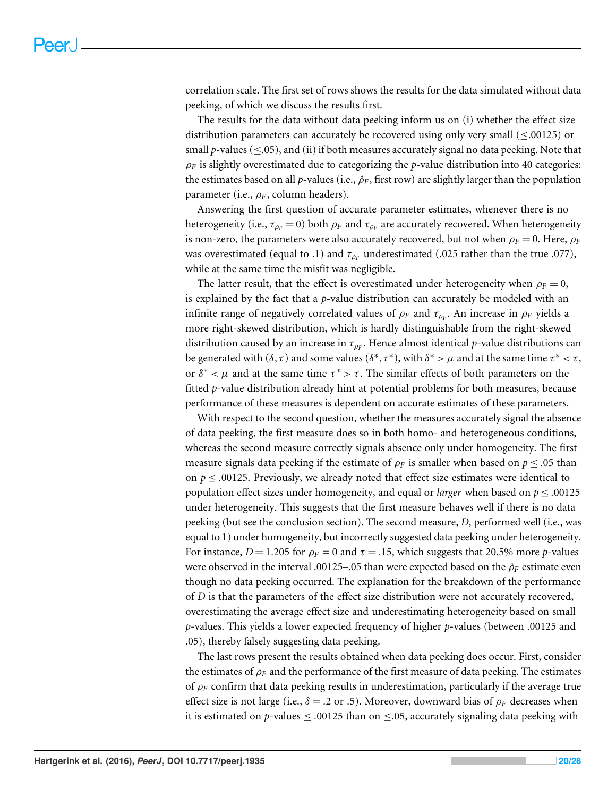correlation scale. The first set of rows shows the results for the data simulated without data peeking, of which we discuss the results first.

The results for the data without data peeking inform us on (i) whether the effect size distribution parameters can accurately be recovered using only very small (≤.00125) or small  $p$ -values ( $\leq$ .05), and (ii) if both measures accurately signal no data peeking. Note that  $\rho_F$  is slightly overestimated due to categorizing the *p*-value distribution into 40 categories: the estimates based on all *p*-values (i.e.,  $\rho_F$ , first row) are slightly larger than the population parameter (i.e.,  $\rho_F$ , column headers).

Answering the first question of accurate parameter estimates, whenever there is no heterogeneity (i.e.,  $\tau_{\rho_F}$  = 0) both  $\rho_F$  and  $\tau_{\rho_F}$  are accurately recovered. When heterogeneity is non-zero, the parameters were also accurately recovered, but not when  $\rho_F = 0$ . Here,  $\rho_F$ was overestimated (equal to .1) and  $\tau_{p_F}$  underestimated (.025 rather than the true .077), while at the same time the misfit was negligible.

The latter result, that the effect is overestimated under heterogeneity when  $\rho_F = 0$ , is explained by the fact that a *p*-value distribution can accurately be modeled with an infinite range of negatively correlated values of  $\rho_F$  and  $\tau_{\rho_F}.$  An increase in  $\rho_F$  yields a more right-skewed distribution, which is hardly distinguishable from the right-skewed distribution caused by an increase in  $\tau_{\rho_F}.$  Hence almost identical  $p$ -value distributions can be generated with  $(\delta, \tau)$  and some values  $(\delta^*, \tau^*)$ , with  $\delta^* > \mu$  and at the same time  $\tau^* < \tau$ , or  $\delta^* < \mu$  and at the same time  $\tau^* > \tau$ . The similar effects of both parameters on the fitted *p*-value distribution already hint at potential problems for both measures, because performance of these measures is dependent on accurate estimates of these parameters.

With respect to the second question, whether the measures accurately signal the absence of data peeking, the first measure does so in both homo- and heterogeneous conditions, whereas the second measure correctly signals absence only under homogeneity. The first measure signals data peeking if the estimate of  $\rho_F$  is smaller when based on  $p \leq 0.05$  than on  $p \leq 0.00125$ . Previously, we already noted that effect size estimates were identical to population effect sizes under homogeneity, and equal or *larger* when based on  $p \le 0.00125$ under heterogeneity. This suggests that the first measure behaves well if there is no data peeking (but see the conclusion section). The second measure, *D*, performed well (i.e., was equal to 1) under homogeneity, but incorrectly suggested data peeking under heterogeneity. For instance,  $D = 1.205$  for  $\rho_F = 0$  and  $\tau = .15$ , which suggests that 20.5% more *p*-values were observed in the interval .00125–.05 than were expected based on the ρ*ˆ<sup>F</sup>* estimate even though no data peeking occurred. The explanation for the breakdown of the performance of *D* is that the parameters of the effect size distribution were not accurately recovered, overestimating the average effect size and underestimating heterogeneity based on small *p*-values. This yields a lower expected frequency of higher *p*-values (between .00125 and .05), thereby falsely suggesting data peeking.

The last rows present the results obtained when data peeking does occur. First, consider the estimates of  $\rho_F$  and the performance of the first measure of data peeking. The estimates of  $\rho_F$  confirm that data peeking results in underestimation, particularly if the average true effect size is not large (i.e.,  $\delta = .2$  or .5). Moreover, downward bias of  $\rho_F$  decreases when it is estimated on *p*-values  $\leq$  .00125 than on  $\leq$ .05, accurately signaling data peeking with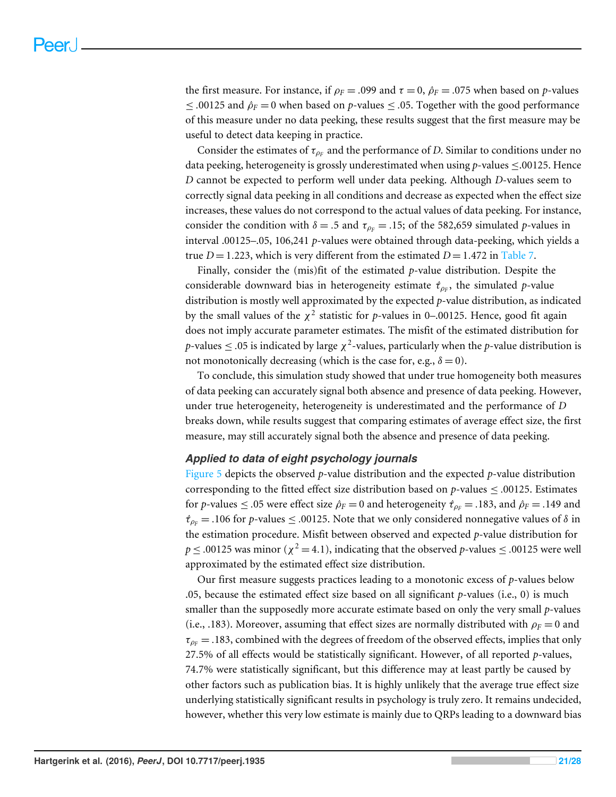the first measure. For instance, if  $\rho_F = .099$  and  $\tau = 0$ ,  $\rho_F = .075$  when based on *p*-values ≤ .00125 and  $\hat{\rho}_F$  = 0 when based on *p*-values ≤ .05. Together with the good performance of this measure under no data peeking, these results suggest that the first measure may be useful to detect data keeping in practice.

Consider the estimates of  $\tau_{\rho_F}$  and the performance of *D*. Similar to conditions under no data peeking, heterogeneity is grossly underestimated when using *p*-values ≤.00125. Hence *D* cannot be expected to perform well under data peeking. Although *D*-values seem to correctly signal data peeking in all conditions and decrease as expected when the effect size increases, these values do not correspond to the actual values of data peeking. For instance, consider the condition with  $\delta = .5$  and  $\tau_{\rho_F} = .15$ ; of the 582,659 simulated *p*-values in interval .00125–.05, 106,241 *p*-values were obtained through data-peeking, which yields a true  $D = 1.223$ , which is very different from the estimated  $D = 1.472$  in [Table 7.](#page-18-0)

Finally, consider the (mis)fit of the estimated *p*-value distribution. Despite the considerable downward bias in heterogeneity estimate τ*ˆ*ρ*<sup>F</sup>* , the simulated *p*-value distribution is mostly well approximated by the expected *p*-value distribution, as indicated by the small values of the  $\chi^2$  statistic for *p*-values in 0–.00125. Hence, good fit again does not imply accurate parameter estimates. The misfit of the estimated distribution for *p*-values  $\leq$  .05 is indicated by large  $\chi^2$ -values, particularly when the *p*-value distribution is not monotonically decreasing (which is the case for, e.g.,  $\delta = 0$ ).

To conclude, this simulation study showed that under true homogeneity both measures of data peeking can accurately signal both absence and presence of data peeking. However, under true heterogeneity, heterogeneity is underestimated and the performance of *D* breaks down, while results suggest that comparing estimates of average effect size, the first measure, may still accurately signal both the absence and presence of data peeking.

#### *Applied to data of eight psychology journals*

[Figure 5](#page-21-0) depicts the observed *p*-value distribution and the expected *p*-value distribution corresponding to the fitted effect size distribution based on  $p$ -values  $\leq$  .00125. Estimates for *p*-values  $\leq$  .05 were effect size  $\hat{\rho}_F = 0$  and heterogeneity  $\hat{\tau}_{\rho_F} = .183$ , and  $\hat{\rho}_F = .149$  and  $\hat{\tau}_{\rho_F}$  = .106 for *p*-values  $\leq$  .00125. Note that we only considered nonnegative values of  $\delta$  in the estimation procedure. Misfit between observed and expected *p*-value distribution for  $p \leq .00125$  was minor ( $\chi^2$  = 4.1), indicating that the observed *p*-values  $\leq .00125$  were well approximated by the estimated effect size distribution.

Our first measure suggests practices leading to a monotonic excess of *p*-values below .05, because the estimated effect size based on all significant *p*-values (i.e., 0) is much smaller than the supposedly more accurate estimate based on only the very small *p*-values (i.e., .183). Moreover, assuming that effect sizes are normally distributed with  $\rho_F = 0$  and  $\tau_{p_F} = .183$ , combined with the degrees of freedom of the observed effects, implies that only 27.5% of all effects would be statistically significant. However, of all reported *p*-values, 74.7% were statistically significant, but this difference may at least partly be caused by other factors such as publication bias. It is highly unlikely that the average true effect size underlying statistically significant results in psychology is truly zero. It remains undecided, however, whether this very low estimate is mainly due to QRPs leading to a downward bias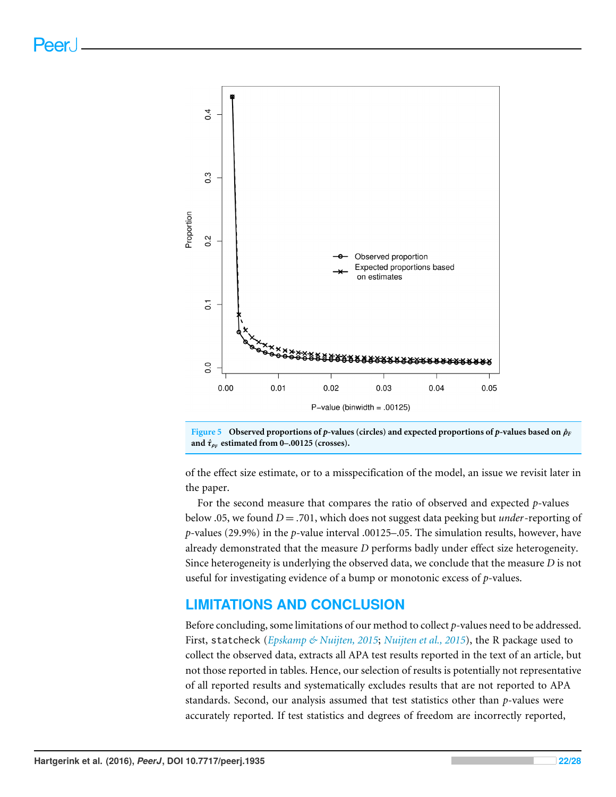<span id="page-21-0"></span>



of the effect size estimate, or to a misspecification of the model, an issue we revisit later in the paper.

For the second measure that compares the ratio of observed and expected *p*-values below .05, we found *D* = .701, which does not suggest data peeking but *under*-reporting of *p*-values (29.9%) in the *p*-value interval .00125–.05. The simulation results, however, have already demonstrated that the measure *D* performs badly under effect size heterogeneity. Since heterogeneity is underlying the observed data, we conclude that the measure *D* is not useful for investigating evidence of a bump or monotonic excess of *p*-values.

## **LIMITATIONS AND CONCLUSION**

Before concluding, some limitations of our method to collect *p*-values need to be addressed. First, statcheck (*[Epskamp & Nuijten, 2015](#page-25-12)*; *[Nuijten et al., 2015](#page-26-1)*), the R package used to collect the observed data, extracts all APA test results reported in the text of an article, but not those reported in tables. Hence, our selection of results is potentially not representative of all reported results and systematically excludes results that are not reported to APA standards. Second, our analysis assumed that test statistics other than *p*-values were accurately reported. If test statistics and degrees of freedom are incorrectly reported,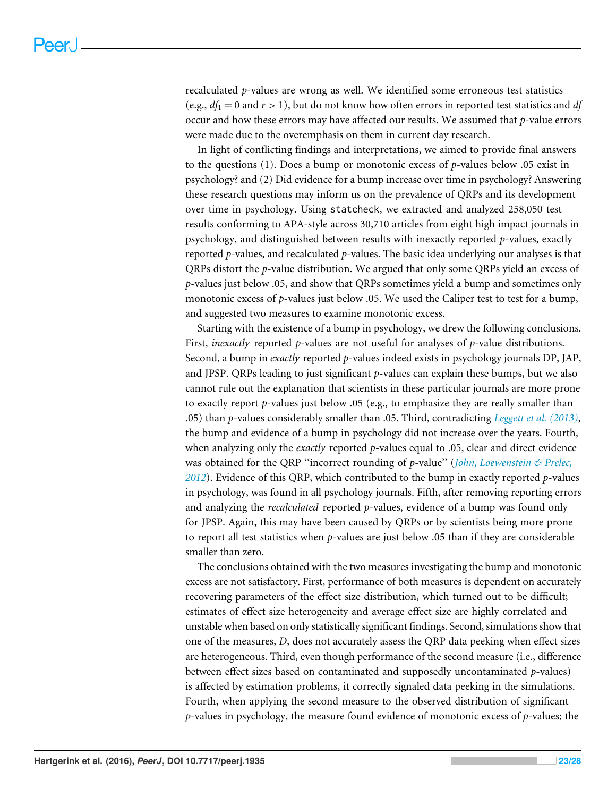recalculated *p*-values are wrong as well. We identified some erroneous test statistics (e.g.,  $df_1 = 0$  and  $r > 1$ ), but do not know how often errors in reported test statistics and  $df$ occur and how these errors may have affected our results. We assumed that *p*-value errors were made due to the overemphasis on them in current day research.

In light of conflicting findings and interpretations, we aimed to provide final answers to the questions (1). Does a bump or monotonic excess of *p*-values below .05 exist in psychology? and (2) Did evidence for a bump increase over time in psychology? Answering these research questions may inform us on the prevalence of QRPs and its development over time in psychology. Using statcheck, we extracted and analyzed 258,050 test results conforming to APA-style across 30,710 articles from eight high impact journals in psychology, and distinguished between results with inexactly reported *p*-values, exactly reported *p*-values, and recalculated *p*-values. The basic idea underlying our analyses is that QRPs distort the *p*-value distribution. We argued that only some QRPs yield an excess of *p*-values just below .05, and show that QRPs sometimes yield a bump and sometimes only monotonic excess of *p*-values just below .05. We used the Caliper test to test for a bump, and suggested two measures to examine monotonic excess.

Starting with the existence of a bump in psychology, we drew the following conclusions. First, *inexactly* reported *p*-values are not useful for analyses of *p*-value distributions. Second, a bump in *exactly* reported *p*-values indeed exists in psychology journals DP, JAP, and JPSP. QRPs leading to just significant *p*-values can explain these bumps, but we also cannot rule out the explanation that scientists in these particular journals are more prone to exactly report *p*-values just below .05 (e.g., to emphasize they are really smaller than .05) than *p*-values considerably smaller than .05. Third, contradicting *[Leggett et al. \(2013\)](#page-26-5)*, the bump and evidence of a bump in psychology did not increase over the years. Fourth, when analyzing only the *exactly* reported *p*-values equal to .05, clear and direct evidence was obtained for the QRP ''incorrect rounding of *p*-value'' (*[John, Loewenstein & Prelec,](#page-26-0) [2012](#page-26-0)*). Evidence of this QRP, which contributed to the bump in exactly reported *p*-values in psychology, was found in all psychology journals. Fifth, after removing reporting errors and analyzing the *recalculated* reported *p*-values, evidence of a bump was found only for JPSP. Again, this may have been caused by QRPs or by scientists being more prone to report all test statistics when *p*-values are just below .05 than if they are considerable smaller than zero.

The conclusions obtained with the two measures investigating the bump and monotonic excess are not satisfactory. First, performance of both measures is dependent on accurately recovering parameters of the effect size distribution, which turned out to be difficult; estimates of effect size heterogeneity and average effect size are highly correlated and unstable when based on only statistically significant findings. Second, simulations show that one of the measures, *D*, does not accurately assess the QRP data peeking when effect sizes are heterogeneous. Third, even though performance of the second measure (i.e., difference between effect sizes based on contaminated and supposedly uncontaminated *p*-values) is affected by estimation problems, it correctly signaled data peeking in the simulations. Fourth, when applying the second measure to the observed distribution of significant *p*-values in psychology, the measure found evidence of monotonic excess of *p*-values; the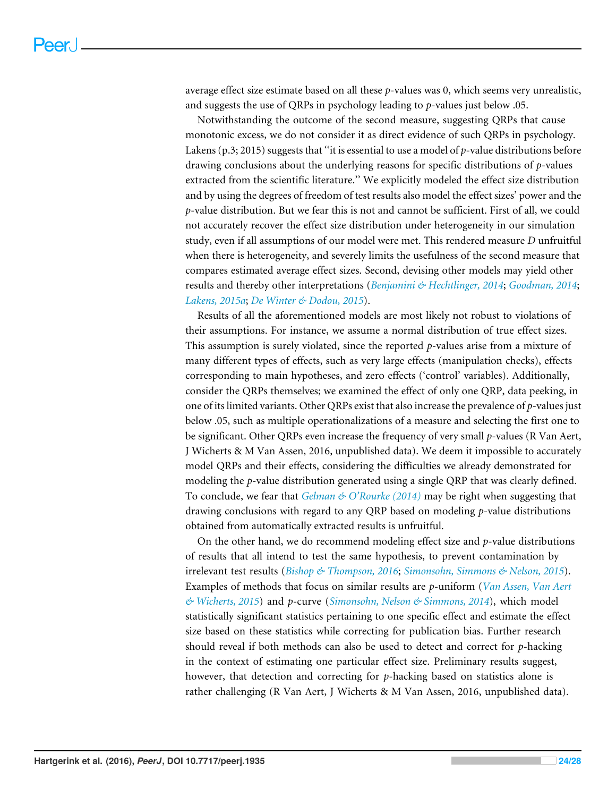average effect size estimate based on all these *p*-values was 0, which seems very unrealistic, and suggests the use of QRPs in psychology leading to *p*-values just below .05.

Notwithstanding the outcome of the second measure, suggesting QRPs that cause monotonic excess, we do not consider it as direct evidence of such QRPs in psychology. Lakens (p.3; 2015) suggests that ''it is essential to use a model of *p*-value distributions before drawing conclusions about the underlying reasons for specific distributions of *p*-values extracted from the scientific literature.'' We explicitly modeled the effect size distribution and by using the degrees of freedom of test results also model the effect sizes' power and the *p*-value distribution. But we fear this is not and cannot be sufficient. First of all, we could not accurately recover the effect size distribution under heterogeneity in our simulation study, even if all assumptions of our model were met. This rendered measure *D* unfruitful when there is heterogeneity, and severely limits the usefulness of the second measure that compares estimated average effect sizes. Second, devising other models may yield other results and thereby other interpretations (*[Benjamini & Hechtlinger, 2014](#page-25-9)*; *[Goodman, 2014](#page-26-13)*; *[Lakens, 2015a](#page-26-14)*; *[De Winter & Dodou, 2015](#page-25-8)*).

Results of all the aforementioned models are most likely not robust to violations of their assumptions. For instance, we assume a normal distribution of true effect sizes. This assumption is surely violated, since the reported *p*-values arise from a mixture of many different types of effects, such as very large effects (manipulation checks), effects corresponding to main hypotheses, and zero effects ('control' variables). Additionally, consider the QRPs themselves; we examined the effect of only one QRP, data peeking, in one of its limited variants. Other QRPs exist that also increase the prevalence of *p*-values just below .05, such as multiple operationalizations of a measure and selecting the first one to be significant. Other QRPs even increase the frequency of very small *p*-values (R Van Aert, J Wicherts & M Van Assen, 2016, unpublished data). We deem it impossible to accurately model QRPs and their effects, considering the difficulties we already demonstrated for modeling the *p*-value distribution generated using a single QRP that was clearly defined. To conclude, we fear that *[Gelman & O'Rourke \(2014\)](#page-25-13)* may be right when suggesting that drawing conclusions with regard to any QRP based on modeling *p*-value distributions obtained from automatically extracted results is unfruitful.

On the other hand, we do recommend modeling effect size and *p*-value distributions of results that all intend to test the same hypothesis, to prevent contamination by irrelevant test results (*[Bishop & Thompson, 2016](#page-25-14)*; *[Simonsohn, Simmons & Nelson, 2015](#page-27-11)*). Examples of methods that focus on similar results are *p*-uniform (*[Van Assen, Van Aert](#page-27-10) [& Wicherts, 2015](#page-27-10)*) and *p*-curve (*[Simonsohn, Nelson & Simmons, 2014](#page-27-9)*), which model statistically significant statistics pertaining to one specific effect and estimate the effect size based on these statistics while correcting for publication bias. Further research should reveal if both methods can also be used to detect and correct for *p*-hacking in the context of estimating one particular effect size. Preliminary results suggest, however, that detection and correcting for *p*-hacking based on statistics alone is rather challenging (R Van Aert, J Wicherts & M Van Assen, 2016, unpublished data).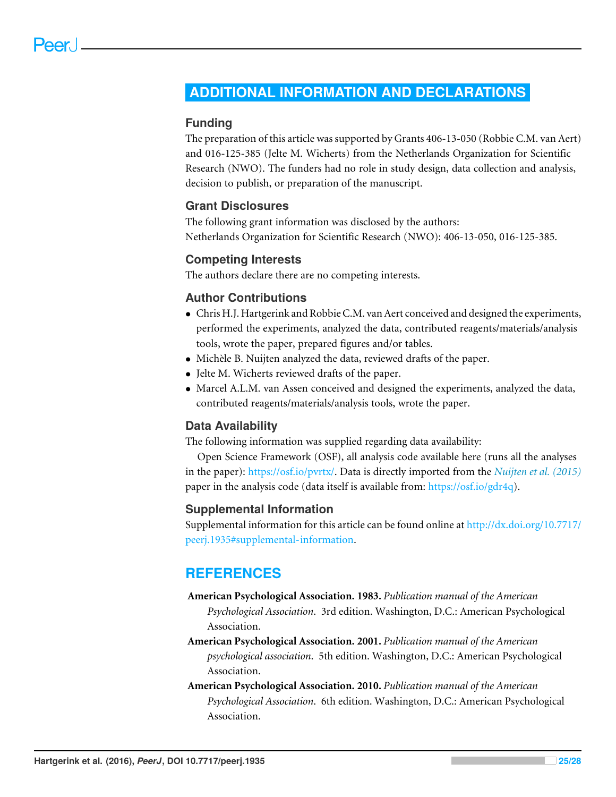## <span id="page-24-0"></span>**ADDITIONAL INFORMATION AND DECLARATIONS**

### **Funding**

The preparation of this article was supported by Grants 406-13-050 (Robbie C.M. van Aert) and 016-125-385 (Jelte M. Wicherts) from the Netherlands Organization for Scientific Research (NWO). The funders had no role in study design, data collection and analysis, decision to publish, or preparation of the manuscript.

## **Grant Disclosures**

The following grant information was disclosed by the authors: Netherlands Organization for Scientific Research (NWO): 406-13-050, 016-125-385.

#### **Competing Interests**

The authors declare there are no competing interests.

#### **Author Contributions**

- [Chris H.J. Hartgerink](#page-0-2) and [Robbie C.M. van Aert](#page-0-3) conceived and designed the experiments, performed the experiments, analyzed the data, contributed reagents/materials/analysis tools, wrote the paper, prepared figures and/or tables.
- [Michèle B. Nuijten](#page-0-4) analyzed the data, reviewed drafts of the paper.
- [Jelte M. Wicherts](#page-0-5) reviewed drafts of the paper.
- [Marcel A.L.M. van Assen](#page-0-6) conceived and designed the experiments, analyzed the data, contributed reagents/materials/analysis tools, wrote the paper.

## **Data Availability**

The following information was supplied regarding data availability:

Open Science Framework (OSF), all analysis code available here (runs all the analyses in the paper): [https://osf.io/pvrtx/.](https://osf.io/pvrtx/) Data is directly imported from the *[Nuijten et al. \(2015\)](#page-26-1)* paper in the analysis code (data itself is available from: [https://osf.io/gdr4q\)](https://osf.io/gdr4q).

#### **Supplemental Information**

Supplemental information for this article can be found online at [http://dx.doi.org/10.7717/](http://dx.doi.org/10.7717/peerj.1935#supplemental-information) [peerj.1935#supplemental-information.](http://dx.doi.org/10.7717/peerj.1935#supplemental-information)

## **REFERENCES**

- <span id="page-24-2"></span>**American Psychological Association. 1983.** *Publication manual of the American Psychological Association*. 3rd edition. Washington, D.C.: American Psychological Association.
- <span id="page-24-3"></span>**American Psychological Association. 2001.** *Publication manual of the American psychological association*. 5th edition. Washington, D.C.: American Psychological Association.
- <span id="page-24-1"></span>**American Psychological Association. 2010.** *Publication manual of the American Psychological Association*. 6th edition. Washington, D.C.: American Psychological Association.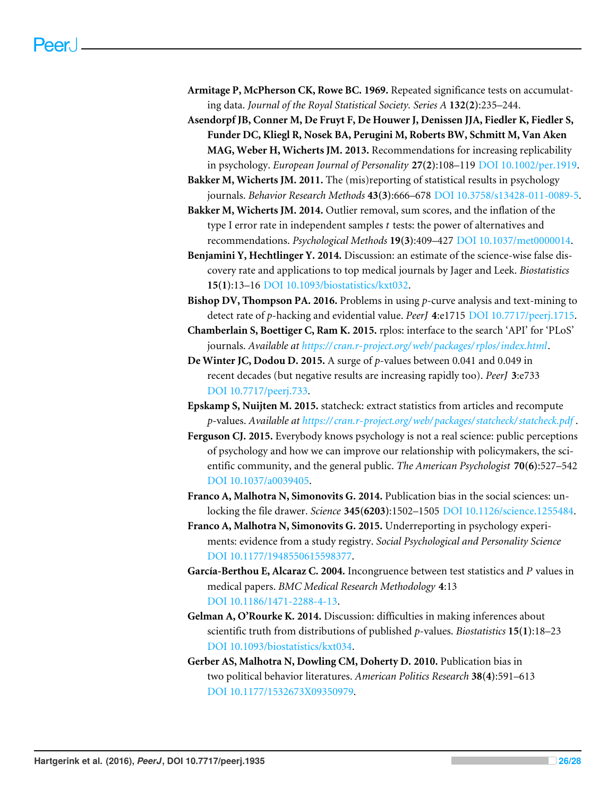- <span id="page-25-0"></span>**Armitage P, McPherson CK, Rowe BC. 1969.** Repeated significance tests on accumulating data. *Journal of the Royal Statistical Society. Series A* **132(2)**:235–244.
- <span id="page-25-1"></span>**Asendorpf JB, Conner M, De Fruyt F, De Houwer J, Denissen JJA, Fiedler K, Fiedler S, Funder DC, Kliegl R, Nosek BA, Perugini M, Roberts BW, Schmitt M, Van Aken MAG, Weber H, Wicherts JM. 2013.** Recommendations for increasing replicability in psychology. *European Journal of Personality* **27(2)**:108–119 [DOI 10.1002/per.1919.](http://dx.doi.org/10.1002/per.1919)
- <span id="page-25-7"></span>**Bakker M, Wicherts JM. 2011.** The (mis)reporting of statistical results in psychology journals. *Behavior Research Methods* **43(3)**:666–678 [DOI 10.3758/s13428-011-0089-5.](http://dx.doi.org/10.3758/s13428-011-0089-5)
- <span id="page-25-2"></span>**Bakker M, Wicherts JM. 2014.** Outlier removal, sum scores, and the inflation of the type I error rate in independent samples *t* tests: the power of alternatives and recommendations. *Psychological Methods* **19(3)**:409–427 [DOI 10.1037/met0000014.](http://dx.doi.org/10.1037/met0000014)
- <span id="page-25-9"></span>**Benjamini Y, Hechtlinger Y. 2014.** Discussion: an estimate of the science-wise false discovery rate and applications to top medical journals by Jager and Leek. *Biostatistics* **15(1)**:13–16 [DOI 10.1093/biostatistics/kxt032.](http://dx.doi.org/10.1093/biostatistics/kxt032)
- <span id="page-25-14"></span>**Bishop DV, Thompson PA. 2016.** Problems in using *p*-curve analysis and text-mining to detect rate of *p*-hacking and evidential value. *PeerJ* **4**:e1715 [DOI 10.7717/peerj.1715.](http://dx.doi.org/10.7717/peerj.1715)
- <span id="page-25-11"></span>**Chamberlain S, Boettiger C, Ram K. 2015.** rplos: interface to the search 'API' for 'PLoS' journals. *Available at [https:// cran.r-project.org/web/ packages/ rplos/index.html](https://cran.r-project.org/web/packages/rplos/index.html)*.
- <span id="page-25-8"></span>**De Winter JC, Dodou D. 2015.** A surge of *p*-values between 0.041 and 0.049 in recent decades (but negative results are increasing rapidly too). *PeerJ* **3**:e733 [DOI 10.7717/peerj.733.](http://dx.doi.org/10.7717/peerj.733)
- <span id="page-25-12"></span>**Epskamp S, Nuijten M. 2015.** statcheck: extract statistics from articles and recompute *p*-values. *Available at [https:// cran.r-project.org/web/ packages/ statcheck/ statcheck.pdf](https://cran.r-project.org/web/packages/statcheck/statcheck.pdf)* .
- <span id="page-25-4"></span>**Ferguson CJ. 2015.** Everybody knows psychology is not a real science: public perceptions of psychology and how we can improve our relationship with policymakers, the scientific community, and the general public. *The American Psychologist* **70(6)**:527–542 [DOI 10.1037/a0039405.](http://dx.doi.org/10.1037/a0039405)
- <span id="page-25-6"></span>**Franco A, Malhotra N, Simonovits G. 2014.** Publication bias in the social sciences: unlocking the file drawer. *Science* **345(6203)**:1502–1505 [DOI 10.1126/science.1255484.](http://dx.doi.org/10.1126/science.1255484)
- <span id="page-25-3"></span>**Franco A, Malhotra N, Simonovits G. 2015.** Underreporting in psychology experiments: evidence from a study registry. *Social Psychological and Personality Science* [DOI 10.1177/1948550615598377.](http://dx.doi.org/10.1177/1948550615598377)
- <span id="page-25-10"></span>**García-Berthou E, Alcaraz C. 2004.** Incongruence between test statistics and *P* values in medical papers. *BMC Medical Research Methodology* **4**:13 [DOI 10.1186/1471-2288-4-13.](http://dx.doi.org/10.1186/1471-2288-4-13)
- <span id="page-25-13"></span>**Gelman A, O'Rourke K. 2014.** Discussion: difficulties in making inferences about scientific truth from distributions of published *p*-values. *Biostatistics* **15(1)**:18–23 [DOI 10.1093/biostatistics/kxt034.](http://dx.doi.org/10.1093/biostatistics/kxt034)
- <span id="page-25-5"></span>**Gerber AS, Malhotra N, Dowling CM, Doherty D. 2010.** Publication bias in two political behavior literatures. *American Politics Research* **38(4)**:591–613 [DOI 10.1177/1532673X09350979.](http://dx.doi.org/10.1177/1532673X09350979)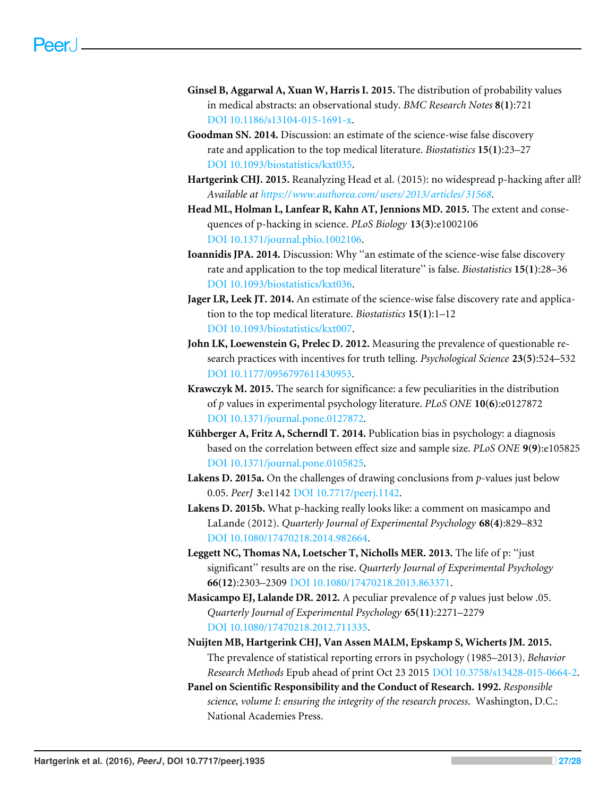- <span id="page-26-7"></span>**Ginsel B, Aggarwal A, Xuan W, Harris I. 2015.** The distribution of probability values in medical abstracts: an observational study. *BMC Research Notes* **8(1)**:721 [DOI 10.1186/s13104-015-1691-x.](http://dx.doi.org/10.1186/s13104-015-1691-x)
- <span id="page-26-13"></span>**Goodman SN. 2014.** Discussion: an estimate of the science-wise false discovery rate and application to the top medical literature. *Biostatistics* **15(1)**:23–27 [DOI 10.1093/biostatistics/kxt035.](http://dx.doi.org/10.1093/biostatistics/kxt035)
- <span id="page-26-12"></span>**Hartgerink CHJ. 2015.** Reanalyzing Head et al. (2015): no widespread p-hacking after all? *Available at [https://www.authorea.com/ users/ 2013/ articles/ 31568](https://www.authorea.com/users/2013/articles/31568)*.
- <span id="page-26-6"></span>**Head ML, Holman L, Lanfear R, Kahn AT, Jennions MD. 2015.** The extent and consequences of p-hacking in science. *PLoS Biology* **13(3)**:e1002106 [DOI 10.1371/journal.pbio.1002106.](http://dx.doi.org/10.1371/journal.pbio.1002106)
- <span id="page-26-10"></span>**Ioannidis JPA. 2014.** Discussion: Why ''an estimate of the science-wise false discovery rate and application to the top medical literature'' is false. *Biostatistics* **15(1)**:28–36 [DOI 10.1093/biostatistics/kxt036.](http://dx.doi.org/10.1093/biostatistics/kxt036)
- <span id="page-26-8"></span>**Jager LR, Leek JT. 2014.** An estimate of the science-wise false discovery rate and application to the top medical literature. *Biostatistics* **15(1)**:1–12 [DOI 10.1093/biostatistics/kxt007.](http://dx.doi.org/10.1093/biostatistics/kxt007)
- <span id="page-26-0"></span>**John LK, Loewenstein G, Prelec D. 2012.** Measuring the prevalence of questionable research practices with incentives for truth telling. *Psychological Science* **23(5)**:524–532 [DOI 10.1177/0956797611430953.](http://dx.doi.org/10.1177/0956797611430953)
- <span id="page-26-9"></span>**Krawczyk M. 2015.** The search for significance: a few peculiarities in the distribution of *p* values in experimental psychology literature. *PLoS ONE* **10(6)**:e0127872 [DOI 10.1371/journal.pone.0127872.](http://dx.doi.org/10.1371/journal.pone.0127872)
- <span id="page-26-11"></span>**Kühberger A, Fritz A, Scherndl T. 2014.** Publication bias in psychology: a diagnosis based on the correlation between effect size and sample size. *PLoS ONE* **9(9)**:e105825 [DOI 10.1371/journal.pone.0105825.](http://dx.doi.org/10.1371/journal.pone.0105825)
- <span id="page-26-14"></span>**Lakens D. 2015a.** On the challenges of drawing conclusions from *p*-values just below 0.05. *PeerJ* **3**:e1142 [DOI 10.7717/peerj.1142.](http://dx.doi.org/10.7717/peerj.1142)
- <span id="page-26-3"></span>**Lakens D. 2015b.** What p-hacking really looks like: a comment on masicampo and LaLande (2012). *Quarterly Journal of Experimental Psychology* **68(4)**:829–832 [DOI 10.1080/17470218.2014.982664.](http://dx.doi.org/10.1080/17470218.2014.982664)
- <span id="page-26-5"></span>**Leggett NC, Thomas NA, Loetscher T, Nicholls MER. 2013.** The life of p: ''just significant'' results are on the rise. *Quarterly Journal of Experimental Psychology* **66(12)**:2303–2309 [DOI 10.1080/17470218.2013.863371.](http://dx.doi.org/10.1080/17470218.2013.863371)
- <span id="page-26-4"></span>**Masicampo EJ, Lalande DR. 2012.** A peculiar prevalence of *p* values just below .05. *Quarterly Journal of Experimental Psychology* **65(11)**:2271–2279 [DOI 10.1080/17470218.2012.711335.](http://dx.doi.org/10.1080/17470218.2012.711335)
- <span id="page-26-1"></span>**Nuijten MB, Hartgerink CHJ, Van Assen MALM, Epskamp S, Wicherts JM. 2015.** The prevalence of statistical reporting errors in psychology (1985–2013). *Behavior Research Methods* Epub ahead of print Oct 23 2015 [DOI 10.3758/s13428-015-0664-2.](http://dx.doi.org/10.3758/s13428-015-0664-2)
- <span id="page-26-2"></span>**Panel on Scientific Responsibility and the Conduct of Research. 1992.** *Responsible science, volume I: ensuring the integrity of the research process*. Washington, D.C.: National Academies Press.